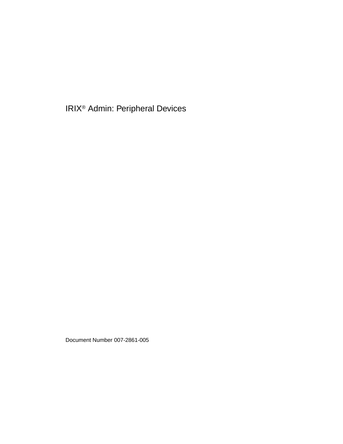IRIX® Admin: Peripheral Devices

Document Number 007-2861-005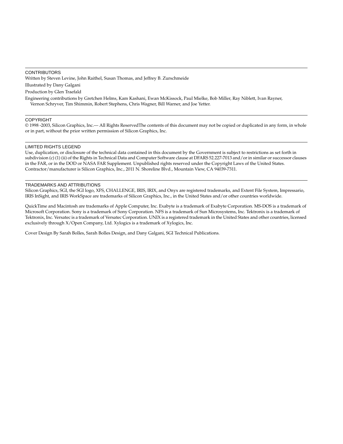#### CONTRIBUTORS

Written by Steven Levine, John Raithel, Susan Thomas, and Jeffrey B. Zurschmeide

Illustrated by Dany Galgani

Production by Glen Traefald

Engineering contributions by Gretchen Helms, Kam Kashani, Ewan McKissock, Paul Mielke, Bob Miller, Ray Niblett, Ivan Rayner, Vernon Schryver, Tim Shimmin, Robert Stephens, Chris Wagner, Bill Warner, and Joe Yetter.

#### COPYRIGHT

© 1998 -2003, Silicon Graphics, Inc.— All Rights ReservedThe contents of this document may not be copied or duplicated in any form, in whole or in part, without the prior written permission of Silicon Graphics, Inc.

#### LIMITED RIGHTS LEGEND

Use, duplication, or disclosure of the technical data contained in this document by the Government is subject to restrictions as set forth in subdivision (c) (1) (ii) of the Rights in Technical Data and Computer Software clause at DFARS 52.227-7013 and/or in similar or successor clauses in the FAR, or in the DOD or NASA FAR Supplement. Unpublished rights reserved under the Copyright Laws of the United States. Contractor/manufacturer is Silicon Graphics, Inc., 2011 N. Shoreline Blvd., Mountain View, CA 94039-7311.

#### TRADEMARKS AND ATTRIBUTIONS

Silicon Graphics, SGI, the SGI logo, XFS, CHALLENGE, IRIS, IRIX, and Onyx are registered trademarks, and Extent File System, Impressario, IRIS InSight, and IRIS WorkSpace are trademarks of Silicon Graphics, Inc., in the United States and/or other countries worldwide.

QuickTime and Macintosh are trademarks of Apple Computer, Inc. Exabyte is a trademark of Exabyte Corporation. MS-DOS is a trademark of Microsoft Corporation. Sony is a trademark of Sony Corporation. NFS is a trademark of Sun Microsystems, Inc. Tektronix is a trademark of Tektronix, Inc. Versatec is a trademark of Versatec Corporation. UNIX is a registered trademark in the United States and other countries, licensed exclusively through X/Open Company, Ltd. Xylogics is a trademark of Xylogics, Inc.

Cover Design By Sarah Bolles, Sarah Bolles Design, and Dany Galgani, SGI Technical Publications.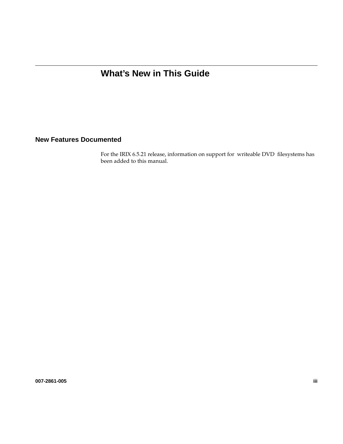# **What's New in This Guide**

### **New Features Documented**

For the IRIX 6.5.21 release, information on support for writeable DVD filesystems has been added to this manual.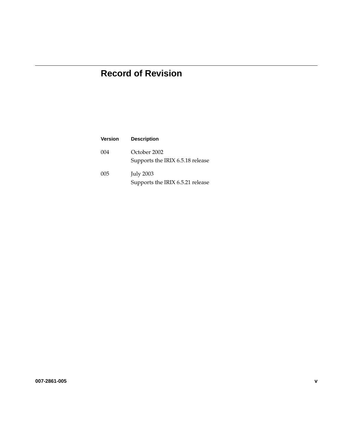# **Record of Revision**

| <b>Version</b> | <b>Description</b>                                   |
|----------------|------------------------------------------------------|
| 004            | October 2002<br>Supports the IRIX 6.5.18 release     |
| 005            | <b>July 2003</b><br>Supports the IRIX 6.5.21 release |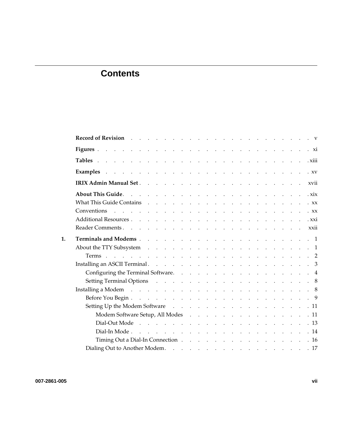# **Contents**

|    | Tables and a contract the contract of the contract of the contract of the contract of the contract of the contract of the contract of the contract of the contract of the contract of the contract of the contract of the cont |  |
|----|--------------------------------------------------------------------------------------------------------------------------------------------------------------------------------------------------------------------------------|--|
|    |                                                                                                                                                                                                                                |  |
|    | xvii                                                                                                                                                                                                                           |  |
|    |                                                                                                                                                                                                                                |  |
|    | What This Guide Contains research and research and research and research and research and research and research<br>$\cdot$ XX                                                                                                  |  |
|    |                                                                                                                                                                                                                                |  |
|    |                                                                                                                                                                                                                                |  |
|    |                                                                                                                                                                                                                                |  |
| 1. |                                                                                                                                                                                                                                |  |
|    |                                                                                                                                                                                                                                |  |
|    |                                                                                                                                                                                                                                |  |
|    |                                                                                                                                                                                                                                |  |
|    | Configuring the Terminal Software. 4                                                                                                                                                                                           |  |
|    |                                                                                                                                                                                                                                |  |
|    | Installing a Modem (a) and (b) and (b) and (b) and (b) and (b) and (b) and (b) and (b) and (b) and (b) and (b) and (b) and (b) and (b) and (b) and (b) and (b) and (b) and (b) and (b) and (b) and (b) and (b) and (b) and (b) |  |
|    |                                                                                                                                                                                                                                |  |
|    | Setting Up the Modem Software 11                                                                                                                                                                                               |  |
|    | Modem Software Setup, All Modes 11                                                                                                                                                                                             |  |
|    |                                                                                                                                                                                                                                |  |
|    |                                                                                                                                                                                                                                |  |
|    | Timing Out a Dial-In Connection 16                                                                                                                                                                                             |  |
|    | Dialing Out to Another Modem. 17                                                                                                                                                                                               |  |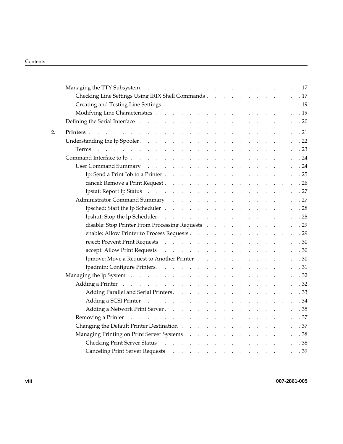|    |                                                                                                                                                                                                                                |  |  |  |  |  | .17                                                    |
|----|--------------------------------------------------------------------------------------------------------------------------------------------------------------------------------------------------------------------------------|--|--|--|--|--|--------------------------------------------------------|
|    | Checking Line Settings Using IRIX Shell Commands 17                                                                                                                                                                            |  |  |  |  |  |                                                        |
|    |                                                                                                                                                                                                                                |  |  |  |  |  | . 19                                                   |
|    |                                                                                                                                                                                                                                |  |  |  |  |  | .19                                                    |
|    |                                                                                                                                                                                                                                |  |  |  |  |  | .20                                                    |
| 2. | Printers and a construction of the construction of the construction of the construction of the construction of the construction of the construction of the construction of the construction of the construction of the constru |  |  |  |  |  | .21                                                    |
|    | Understanding the lp Spooler.                                                                                                                                                                                                  |  |  |  |  |  | .22                                                    |
|    |                                                                                                                                                                                                                                |  |  |  |  |  | .23                                                    |
|    |                                                                                                                                                                                                                                |  |  |  |  |  |                                                        |
|    | User Command Summary                                                                                                                                                                                                           |  |  |  |  |  |                                                        |
|    | lp: Send a Print Job to a Printer                                                                                                                                                                                              |  |  |  |  |  | $\therefore$ $\therefore$ $\therefore$ $\therefore$ 25 |
|    |                                                                                                                                                                                                                                |  |  |  |  |  |                                                        |
|    | lpstat: Report lp Status                                                                                                                                                                                                       |  |  |  |  |  |                                                        |
|    | Administrator Command Summary New York New York New York 1980 and 2014                                                                                                                                                         |  |  |  |  |  |                                                        |
|    |                                                                                                                                                                                                                                |  |  |  |  |  |                                                        |
|    | lpshut: Stop the lp Scheduler 28                                                                                                                                                                                               |  |  |  |  |  |                                                        |
|    | disable: Stop Printer From Processing Requests 29                                                                                                                                                                              |  |  |  |  |  |                                                        |
|    | enable: Allow Printer to Process Requests 29                                                                                                                                                                                   |  |  |  |  |  |                                                        |
|    |                                                                                                                                                                                                                                |  |  |  |  |  |                                                        |
|    | accept: Allow Print Requests                                                                                                                                                                                                   |  |  |  |  |  |                                                        |
|    | lpmove: Move a Request to Another Printer 30                                                                                                                                                                                   |  |  |  |  |  |                                                        |
|    |                                                                                                                                                                                                                                |  |  |  |  |  |                                                        |
|    | Managing the lp System                                                                                                                                                                                                         |  |  |  |  |  | $\cdot$ 32                                             |
|    | Adding a Printer                                                                                                                                                                                                               |  |  |  |  |  |                                                        |
|    | Adding Parallel and Serial Printers. 33                                                                                                                                                                                        |  |  |  |  |  |                                                        |
|    |                                                                                                                                                                                                                                |  |  |  |  |  |                                                        |
|    |                                                                                                                                                                                                                                |  |  |  |  |  |                                                        |
|    | Removing a Printer resource of the contract of the contract of the Removing a Printer.                                                                                                                                         |  |  |  |  |  | .37                                                    |
|    |                                                                                                                                                                                                                                |  |  |  |  |  |                                                        |
|    | Managing Printing on Print Server Systems                                                                                                                                                                                      |  |  |  |  |  | $\cdot \cdot \cdot \cdot \cdot \cdot 38$               |
|    | Checking Print Server Status (Checking Print Server Status (Checking Print Server Status)                                                                                                                                      |  |  |  |  |  | .38                                                    |
|    |                                                                                                                                                                                                                                |  |  |  |  |  |                                                        |
|    |                                                                                                                                                                                                                                |  |  |  |  |  |                                                        |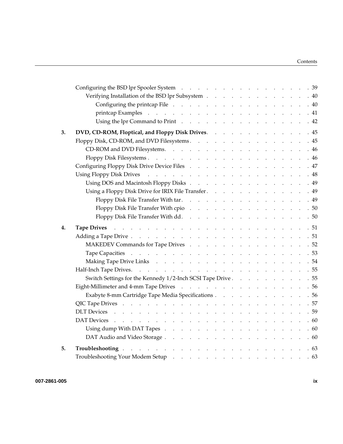|    | Verifying Installation of the BSD lpr Subsystem 40                                                                                                                                                                                 |  |  |  |  |  |  |  |      |
|----|------------------------------------------------------------------------------------------------------------------------------------------------------------------------------------------------------------------------------------|--|--|--|--|--|--|--|------|
|    | Configuring the printcap File 40                                                                                                                                                                                                   |  |  |  |  |  |  |  |      |
|    |                                                                                                                                                                                                                                    |  |  |  |  |  |  |  |      |
|    | Using the lpr Command to Print 42                                                                                                                                                                                                  |  |  |  |  |  |  |  |      |
| 3. | DVD, CD-ROM, Floptical, and Floppy Disk Drives.                                                                                                                                                                                    |  |  |  |  |  |  |  | .45  |
|    | Floppy Disk, CD-ROM, and DVD Filesystems. 45                                                                                                                                                                                       |  |  |  |  |  |  |  |      |
|    | CD-ROM and DVD Filesystems. 46                                                                                                                                                                                                     |  |  |  |  |  |  |  |      |
|    |                                                                                                                                                                                                                                    |  |  |  |  |  |  |  | .46  |
|    | Configuring Floppy Disk Drive Device Files 47                                                                                                                                                                                      |  |  |  |  |  |  |  |      |
|    |                                                                                                                                                                                                                                    |  |  |  |  |  |  |  | .48  |
|    | Using DOS and Macintosh Floppy Disks 49                                                                                                                                                                                            |  |  |  |  |  |  |  |      |
|    | Using a Floppy Disk Drive for IRIX File Transfer.                                                                                                                                                                                  |  |  |  |  |  |  |  | . 49 |
|    | Floppy Disk File Transfer With tar. 49                                                                                                                                                                                             |  |  |  |  |  |  |  |      |
|    | Floppy Disk File Transfer With cpio 50                                                                                                                                                                                             |  |  |  |  |  |  |  |      |
|    | Floppy Disk File Transfer With dd. 50                                                                                                                                                                                              |  |  |  |  |  |  |  |      |
| 4. | Tape Drives and a contract the contract of the contract of the contract of the 51                                                                                                                                                  |  |  |  |  |  |  |  |      |
|    |                                                                                                                                                                                                                                    |  |  |  |  |  |  |  |      |
|    |                                                                                                                                                                                                                                    |  |  |  |  |  |  |  |      |
|    | MAKEDEV Commands for Tape Drives 52                                                                                                                                                                                                |  |  |  |  |  |  |  |      |
|    |                                                                                                                                                                                                                                    |  |  |  |  |  |  |  |      |
|    |                                                                                                                                                                                                                                    |  |  |  |  |  |  |  |      |
|    |                                                                                                                                                                                                                                    |  |  |  |  |  |  |  |      |
|    | Switch Settings for the Kennedy 1/2-Inch SCSI Tape Drive 55                                                                                                                                                                        |  |  |  |  |  |  |  |      |
|    | Eight-Millimeter and 4-mm Tape Drives 56                                                                                                                                                                                           |  |  |  |  |  |  |  |      |
|    | Exabyte 8-mm Cartridge Tape Media Specifications 56                                                                                                                                                                                |  |  |  |  |  |  |  |      |
|    |                                                                                                                                                                                                                                    |  |  |  |  |  |  |  |      |
|    |                                                                                                                                                                                                                                    |  |  |  |  |  |  |  |      |
|    |                                                                                                                                                                                                                                    |  |  |  |  |  |  |  | .60  |
|    |                                                                                                                                                                                                                                    |  |  |  |  |  |  |  | .60  |
|    |                                                                                                                                                                                                                                    |  |  |  |  |  |  |  |      |
| 5. | <b>Troubleshooting</b> expected to the contract of the contract of the contract of the contract of the contract of the contract of the contract of the contract of the contract of the contract of the contract of the contract of |  |  |  |  |  |  |  |      |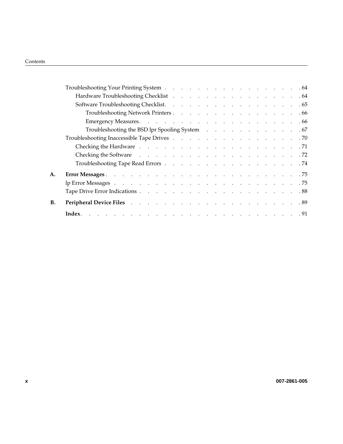|           | Troubleshooting the BSD lpr Spooling System 67                                                                                                                                                                                 |  |  |  |  |  |
|-----------|--------------------------------------------------------------------------------------------------------------------------------------------------------------------------------------------------------------------------------|--|--|--|--|--|
|           |                                                                                                                                                                                                                                |  |  |  |  |  |
|           |                                                                                                                                                                                                                                |  |  |  |  |  |
|           | Checking the Software resources and resources are resources and resources are set of 72                                                                                                                                        |  |  |  |  |  |
|           |                                                                                                                                                                                                                                |  |  |  |  |  |
| А.        |                                                                                                                                                                                                                                |  |  |  |  |  |
|           |                                                                                                                                                                                                                                |  |  |  |  |  |
|           |                                                                                                                                                                                                                                |  |  |  |  |  |
| <b>B.</b> | Peripheral Device Files (2003) 2014 12: 2015 12: 2016 12: 2016 12: 2016 12: 2016 12: 2016 12: 2016 12: 2016 12: 2016 12: 2016 12: 2016 12: 2016 12: 2016 12: 2016 12: 2016 12: 2016 12: 2016 12: 2016 12: 2016 12: 2016 12: 20 |  |  |  |  |  |
|           |                                                                                                                                                                                                                                |  |  |  |  |  |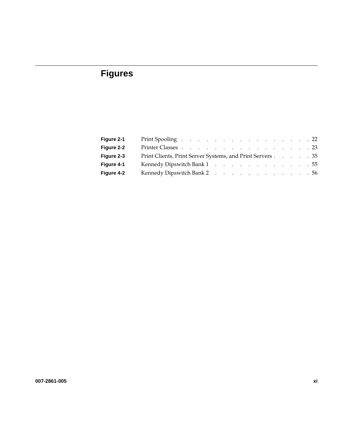# **Figures**

| Figure 2-1 | Print Spooling 22                                         |
|------------|-----------------------------------------------------------|
| Figure 2-2 | Printer Classes 23                                        |
| Figure 2-3 | Print Clients, Print Server Systems, and Print Servers 35 |
| Figure 4-1 | Kennedy Dipswitch Bank 1 55                               |
| Figure 4-2 | Kennedy Dipswitch Bank 2 56                               |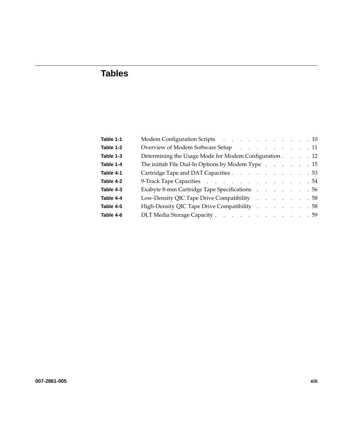# **Tables**

| Table 1-1 | Modem Configuration Scripts 10                        |
|-----------|-------------------------------------------------------|
| Table 1-2 | Overview of Modem Software Setup 11                   |
| Table 1-3 | Determining the Usage Mode for Modem Configuration 12 |
| Table 1-4 | The inittab File Dial-In Options by Modem Type 15     |
| Table 4-1 | Cartridge Tape and DAT Capacities 53                  |
| Table 4-2 | 9-Track Tape Capacities 54                            |
| Table 4-3 | Exabyte 8-mm Cartridge Tape Specifications 56         |
| Table 4-4 | Low-Density QIC Tape Drive Compatibility 58           |
| Table 4-5 | High-Density QIC Tape Drive Compatibility 58          |
| Table 4-6 | DLT Media Storage Capacity 59                         |
|           |                                                       |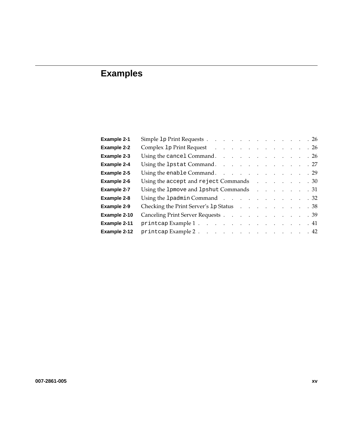# **Examples**

| Example 2-1        | Simple 1p Print Requests 26                                                                                                                                                                                                    |
|--------------------|--------------------------------------------------------------------------------------------------------------------------------------------------------------------------------------------------------------------------------|
| <b>Example 2-2</b> | Complex 1p Print Request (2008) (2008) (2009) (2008) (2009) (2009) (2009) (2009) (2009) (2009) (2009) (2009) (2009) (2009) (2009) (2009) (2009) (2009) (2009) (2009) (2009) (2009) (2009) (2009) (2009) (2009) (2009) (2009) ( |
| Example 2-3        | Using the cancel Command. 26                                                                                                                                                                                                   |
| Example 2-4        | Using the 1pstat Command. 27                                                                                                                                                                                                   |
| Example 2-5        | Using the enable Command. 29                                                                                                                                                                                                   |
| <b>Example 2-6</b> | Using the accept and reject Commands 30                                                                                                                                                                                        |
| Example 2-7        | Using the 1pmove and 1pshut Commands 31                                                                                                                                                                                        |
| Example 2-8        | Using the 1 padmin Command 32                                                                                                                                                                                                  |
| Example 2-9        | Checking the Print Server's 1p Status 38                                                                                                                                                                                       |
| Example 2-10       | Canceling Print Server Requests 39                                                                                                                                                                                             |
| Example 2-11       | printcap Example 1. 41                                                                                                                                                                                                         |
| Example 2-12       | printcap Example 2. 42                                                                                                                                                                                                         |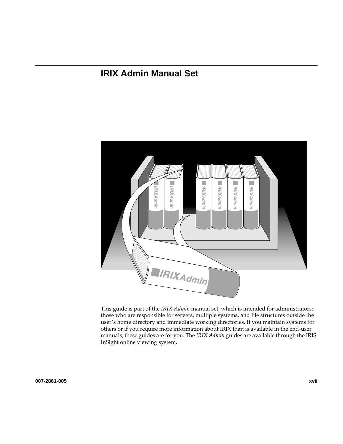# **IRIX Admin Manual Set**



This guide is part of the *IRIX Admin* manual set, which is intended for administrators: those who are responsible for servers, multiple systems, and file structures outside the user's home directory and immediate working directories. If you maintain systems for others or if you require more information about IRIX than is available in the end-user manuals, these guides are for you. The *IRIX Admin* guides are available through the IRIS InSight online viewing system.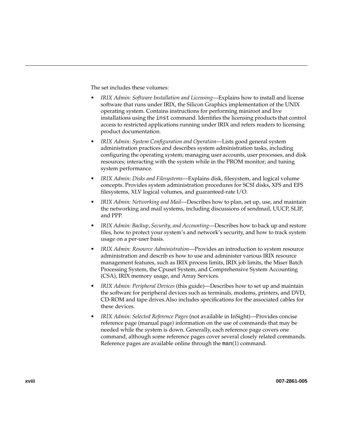The set includes these volumes:

- *IRIX Admin: Software Installation and Licensing*—Explains how to install and license software that runs under IRIX, the Silicon Graphics implementation of the UNIX operating system. Contains instructions for performing miniroot and live installations using the inst command. Identifies the licensing products that control access to restricted applications running under IRIX and refers readers to licensing product documentation.
- *IRIX Admin: System Configuration and Operation*—Lists good general system administration practices and describes system administration tasks, including configuring the operating system; managing user accounts, user processes, and disk resources; interacting with the system while in the PROM monitor; and tuning system performance.
- *IRIX Admin: Disks and Filesystems*—Explains disk, filesystem, and logical volume concepts. Provides system administration procedures for SCSI disks, XFS and EFS filesystems, XLV logical volumes, and guaranteed-rate I/O.
- *IRIX Admin: Networking and Mail*—Describes how to plan, set up, use, and maintain the networking and mail systems, including discussions of sendmail, UUCP, SLIP, and PPP.
- *IRIX Admin: Backup, Security, and Accounting*—Describes how to back up and restore files, how to protect your system's and network's security, and how to track system usage on a per-user basis.
- *IRIX Admin: Resource Administration*—Provides an introduction to system resource administration and describ es how to use and administer various IRIX resource management features, such as IRIX process limits, IRIX job limits, the Miser Batch Processing System, the Cpuset System, and Comprehensive System Accounting (CSA), IRIX memory usage, and Array Services.
- *IRIX Admin: Peripheral Devices* (this guide)—Describes how to set up and maintain the software for peripheral devices such as terminals, modems, printers, and DVD, CD-ROM and tape drives.Also includes specifications for the associated cables for these devices.
- *IRIX Admin: Selected Reference Pages* (not available in InSight)—Provides concise reference page (manual page) information on the use of commands that may be needed while the system is down. Generally, each reference page covers one command, although some reference pages cover several closely related commands. Reference pages are available online through the man(1) command.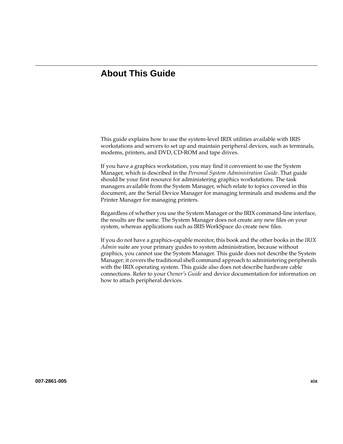## **About This Guide**

This guide explains how to use the system-level IRIX utilities available with IRIS workstations and servers to set up and maintain peripheral devices, such as terminals, modems, printers, and DVD, CD-ROM and tape drives.

If you have a graphics workstation, you may find it convenient to use the System Manager, which is described in the *Personal System Administration Guide*. That guide should be your first resource for administering graphics workstations. The task managers available from the System Manager, which relate to topics covered in this document, are the Serial Device Manager for managing terminals and modems and the Printer Manager for managing printers.

Regardless of whether you use the System Manager or the IRIX command-line interface, the results are the same. The System Manager does not create any new files on your system, whereas applications such as IRIS WorkSpace do create new files.

If you do not have a graphics-capable monitor, this book and the other books in the *IRIX Admin* suite are your primary guides to system administration, because without graphics, you cannot use the System Manager. This guide does not describe the System Manager; it covers the traditional shell command approach to administering peripherals with the IRIX operating system. This guide also does not describe hardware cable connections. Refer to your *Owner's Guide* and device documentation for information on how to attach peripheral devices.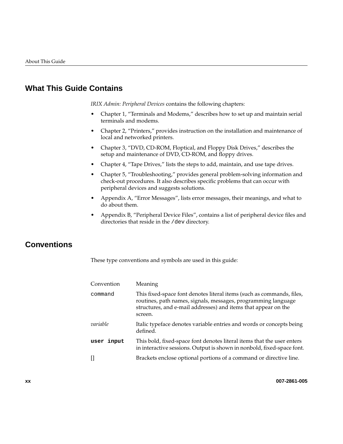## **What This Guide Contains**

*IRIX Admin: Peripheral Devices* contains the following chapters:

- • [Chapter 1, "Terminals and Modems," d](#page-22-0)escribes how to set up and maintain serial terminals and modems.
- • [Chapter 2, "Printers," p](#page-42-0)rovides instruction on the installation and maintenance of local and networked printers.
- • [Chapter 3, "DVD, CD-ROM, Floptical, and Floppy Disk Drives," de](#page-66-0)scribes the setup and maintenance of DVD, CD-ROM, and floppy drives.
- • [Chapter 4, "Tape Drives," li](#page-72-0)sts the steps to add, maintain, and use tape drives.
- • [Chapter 5, "Troubleshooting," p](#page-84-0)rovides general problem-solving information and check-out procedures. It also describes specific problems that can occur with peripheral devices and suggests solutions.
- • [Appendix A, "Error Messages"](#page-96-0), lists error messages, their meanings, and what to do about them.
- • [Appendix B, "Peripheral Device Files",](#page-110-0) contains a list of peripheral device files and directories that reside in the /dev directory.

## **Conventions**

These type conventions and symbols are used in this guide:

| Convention | Meaning                                                                                                                                                                                                             |
|------------|---------------------------------------------------------------------------------------------------------------------------------------------------------------------------------------------------------------------|
| command    | This fixed-space font denotes literal items (such as commands, files,<br>routines, path names, signals, messages, programming language<br>structures, and e-mail addresses) and items that appear on the<br>screen. |
| variable   | Italic typeface denotes variable entries and words or concepts being<br>defined.                                                                                                                                    |
| user input | This bold, fixed-space font denotes literal items that the user enters<br>in interactive sessions. Output is shown in nonbold, fixed-space font.                                                                    |
|            | Brackets enclose optional portions of a command or directive line.                                                                                                                                                  |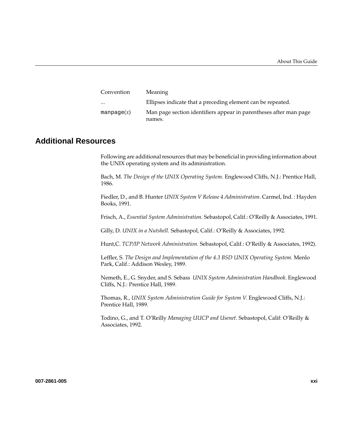| <b>Meaning</b>                                                              |
|-----------------------------------------------------------------------------|
| Ellipses indicate that a preceding element can be repeated.                 |
| Man page section identifiers appear in parentheses after man page<br>names. |
|                                                                             |

### **Additional Resources**

Following are additional resources that may be beneficial in providing information about the UNIX operating system and its administration.

Bach, M. *The Design of the UNIX Operating System.* Englewood Cliffs, N.J.: Prentice Hall, 1986.

Fiedler, D., and B. Hunter *UNIX System V Release 4 Administration*. Carmel, Ind. : Hayden Books, 1991.

Frisch, A., *Essential System Administration.* Sebastopol, Calif.: O'Reilly & Associates, 1991.

Gilly, D. *UNIX in a Nutshell.* Sebastopol, Calif.: O'Reilly & Associates, 1992.

Hunt,C. *TCP/IP Network Administration.* Sebastopol, Calif.: O'Reilly & Associates, 1992).

Leffler, S. *The Design and Implementation of the 4.3 BSD UNIX Operating System.* Menlo Park, Calif.: Addison Wesley, 1989.

Nemeth, E., G. Snyder, and S. Sebass *UNIX System Administration Handbook*. Englewood Cliffs, N.J.: Prentice Hall, 1989.

Thomas, R., *UNIX System Administration Guide for System V.* Englewood Cliffs, N.J.: Prentice Hall, 1989.

Todino, G., and T. O'Reilly *Managing UUCP and Usenet*. Sebastopol, Calif: O'Reilly & Associates, 1992.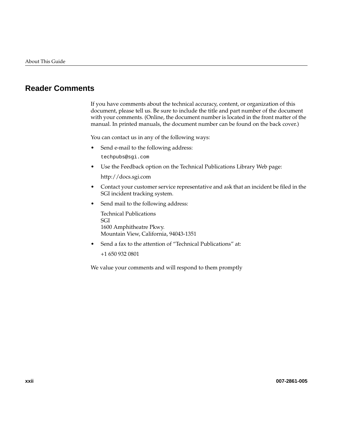## **Reader Comments**

If you have comments about the technical accuracy, content, or organization of this document, please tell us. Be sure to include the title and part number of the document with your comments. (Online, the document number is located in the front matter of the manual. In printed manuals, the document number can be found on the back cover.)

You can contact us in any of the following ways:

• Send e-mail to the following address:

techpubs@sgi.com

• Use the Feedback option on the Technical Publications Library Web page:

http://docs.sgi.com

- Contact your customer service representative and ask that an incident be filed in the SGI incident tracking system.
- Send mail to the following address:

Technical Publications SGI 1600 Amphitheatre Pkwy. Mountain View, California, 94043-1351

• Send a fax to the attention of "Technical Publications" at:

+1 650 932 0801

We value your comments and will respond to them promptly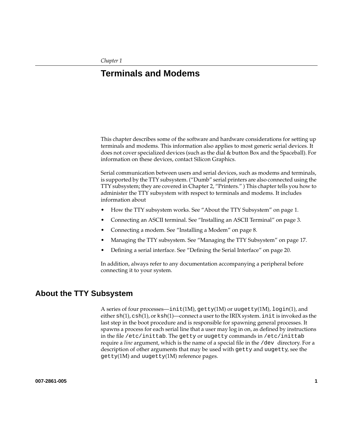## <span id="page-22-0"></span>**1. Terminals and Modems**

This chapter describes some of the software and hardware considerations for setting up terminals and modems. This information also applies to most generic serial devices. It does not cover specialized devices (such as the dial & button Box and the Spaceball). For information on these devices, contact Silicon Graphics.

Serial communication between users and serial devices, such as modems and terminals, is supported by the TTY subsystem. ("Dumb" serial printers are also connected using the TTY subsystem; they are covered i[n Chapter 2, "Printers."](#page-42-0) ) This chapter tells you how to administer the TTY subsystem with respect to terminals and modems. It includes information about

- How the TTY subsystem works. See "About the TTY Subsystem" on page 1.
- Connecting an ASCII terminal. See ["Installing an ASCII Terminal" on page 3.](#page-24-0)
- Connecting a modem. Se[e "Installing a Modem" on page 8](#page-29-0).
- Managing the TTY subsystem. See ["Managing the TTY Subsystem" on page 17](#page-38-0).
- Defining a serial interface. See "[Defining the Serial Interface" on page 20.](#page-41-0)

In addition, always refer to any documentation accompanying a peripheral before connecting it to your system.

### **About the TTY Subsystem**

A series of four processes—init(1M), getty(1M) or uugetty(1M),  $login(1)$ , and either  $\frac{\sinh(1)}{\cosh(1)}$ , or  $\frac{\sinh(1)}{\cosh(1)}$  connect a user to the IRIX system. init is invoked as the last step in the boot procedure and is responsible for spawning general processes. It spawns a process for each serial line that a user may log in on, as defined by instructions in the file /etc/inittab. The getty or uugetty commands in /etc/inittab require a *line* argument, which is the name of a special file in the /dev directory. For a description of other arguments that may be used with getty and uugetty, see the  $getty(1M)$  and uugetty $(1M)$  reference pages.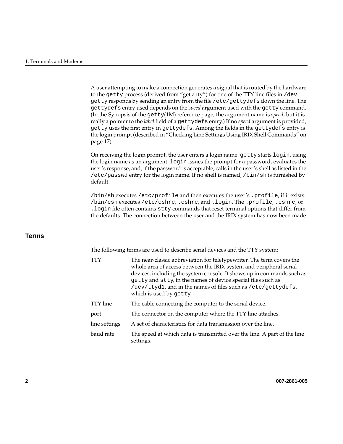A user attempting to make a connection generates a signal that is routed by the hardware to the getty process (derived from "get a tty") for one of the TTY line files in /dev. getty responds by sending an entry from the file /etc/gettydefs down the line. The gettydefs entry used depends on the *speed* argument used with the getty command. (In the Synopsis of the getty(1M) reference page, the argument name is *speed*, but it is really a pointer to the *label* field of a gettydefs entry.) If no *speed* argument is provided, getty uses the first entry in gettydefs. Among the fields in the gettydefs entry is the login prompt (described in ["Checking Line Settings Using IRIX Shell Commands" on](#page-38-0) [page 17\)](#page-38-0).

On receiving the login prompt, the user enters a login name. getty starts login, using the login name as an argument. login issues the prompt for a password, evaluates the user's response, and, if the password is acceptable, calls in the user's shell as listed in the /etc/passwd entry for the login name. If no shell is named, /bin/sh is furnished by default.

/bin/sh executes /etc/profile and then executes the user's .profile, if it exists. /bin/csh executes /etc/cshrc, .cshrc, and .login. The .profile, .cshrc, or .login file often contains stty commands that reset terminal options that differ from the defaults. The connection between the user and the IRIX system has now been made.

### **Terms**

The following terms are used to describe serial devices and the TTY system:

| <b>TTY</b>    | The near-classic abbreviation for teletypewriter. The term covers the<br>whole area of access between the IRIX system and peripheral serial<br>devices, including the system console. It shows up in commands such as<br>getty and stty, in the names of device special files such as<br>/dev/ttyd1, and in the names of files such as /etc/gettydefs,<br>which is used by getty. |
|---------------|-----------------------------------------------------------------------------------------------------------------------------------------------------------------------------------------------------------------------------------------------------------------------------------------------------------------------------------------------------------------------------------|
| TTY line      | The cable connecting the computer to the serial device.                                                                                                                                                                                                                                                                                                                           |
| port          | The connector on the computer where the TTY line attaches.                                                                                                                                                                                                                                                                                                                        |
| line settings | A set of characteristics for data transmission over the line.                                                                                                                                                                                                                                                                                                                     |
| baud rate     | The speed at which data is transmitted over the line. A part of the line<br>settings.                                                                                                                                                                                                                                                                                             |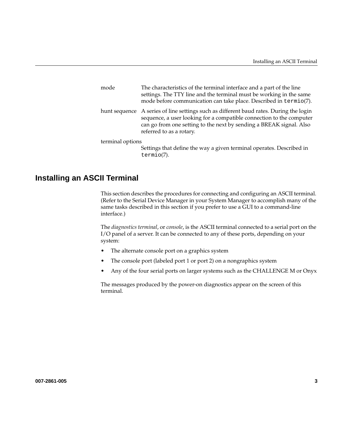<span id="page-24-0"></span>

| mode             | The characteristics of the terminal interface and a part of the line<br>settings. The TTY line and the terminal must be working in the same<br>mode before communication can take place. Described in termio(7).                                                  |
|------------------|-------------------------------------------------------------------------------------------------------------------------------------------------------------------------------------------------------------------------------------------------------------------|
|                  | hunt sequence A series of line settings such as different baud rates. During the login<br>sequence, a user looking for a compatible connection to the computer<br>can go from one setting to the next by sending a BREAK signal. Also<br>referred to as a rotary. |
| terminal options |                                                                                                                                                                                                                                                                   |
|                  | Settings that define the way a given terminal operates. Described in<br>$termio(7)$ .                                                                                                                                                                             |

### **Installing an ASCII Terminal**

This section describes the procedures for connecting and configuring an ASCII terminal. (Refer to the Serial Device Manager in your System Manager to accomplish many of the same tasks described in this section if you prefer to use a GUI to a command-line interface.)

The *diagnostics terminal*, or *console*, is the ASCII terminal connected to a serial port on the I/O panel of a server. It can be connected to any of these ports, depending on your system:

- The alternate console port on a graphics system
- The console port (labeled port 1 or port 2) on a nongraphics system
- Any of the four serial ports on larger systems such as the CHALLENGE M or Onyx

The messages produced by the power-on diagnostics appear on the screen of this terminal.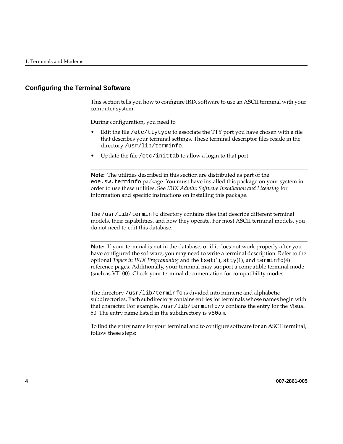#### **Configuring the Terminal Software**

This section tells you how to configure IRIX software to use an ASCII terminal with your computer system.

During configuration, you need to

- Edit the file  $/$ etc $/$ ttytype to associate the TTY port you have chosen with a file that describes your terminal settings. These terminal descriptor files reside in the directory /usr/lib/terminfo.
- Update the file /etc/inittab to allow a login to that port.

**Note:** The utilities described in this section are distributed as part of the eoe.sw.terminfo package. You must have installed this package on your system in order to use these utilities. See *IRIX Admin: Software Installation and Licensing* for information and specific instructions on installing this package.

The /usr/lib/terminfo directory contains files that describe different terminal models, their capabilities, and how they operate. For most ASCII terminal models, you do not need to edit this database.

**Note:** If your terminal is not in the database, or if it does not work properly after you have configured the software, you may need to write a terminal description. Refer to the optional *Topics in IRIX Programming* and the tset(1), stty(1), and terminfo(4) reference pages. Additionally, your terminal may support a compatible terminal mode (such as VT100). Check your terminal documentation for compatibility modes.

The directory /usr/lib/terminfo is divided into numeric and alphabetic subdirectories. Each subdirectory contains entries for terminals whose names begin with that character. For example, /usr/lib/terminfo/v contains the entry for the Visual 50. The entry name listed in the subdirectory is v50am.

To find the entry name for your terminal and to configure software for an ASCII terminal, follow these steps: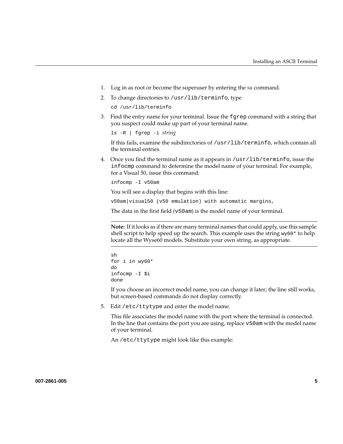- 1. Log in as root or become the superuser by entering the *su* command.
- 2. To change directories to /usr/lib/terminfo, type

cd /usr/lib/terminfo

3. Find the entry name for your terminal. Issue the fgrep command with a string that you suspect could make up part of your terminal name.

ls -R | fgrep -i *string*

If this fails, examine the subdirectories of /usr/lib/terminfo, which contain all the terminal entries.

4. Once you find the terminal name as it appears in /usr/lib/terminfo, issue the infocmp command to determine the model name of your terminal. For example, for a Visual 50, issue this command:

infocmp -I v50am

You will see a display that begins with this line:

v50am|visual50 (v50 emulation) with automatic margins,

The data in the first field (v50am) is the model name of your terminal.

**Note:** If it looks as if there are many terminal names that could apply, use this sample shell script to help speed up the search. This example uses the string  $wy60*$  to help locate all the Wyse60 models. Substitute your own string, as appropriate.

```
sh
for i in wy60*
do
infocmp -I $i
done
```
If you choose an incorrect model name, you can change it later; the line still works, but screen-based commands do not display correctly.

5. Edit /etc/ttytype and enter the model name.

This file associates the model name with the port where the terminal is connected. In the line that contains the port you are using, replace v50am with the model name of your terminal.

An /etc/ttytype might look like this example: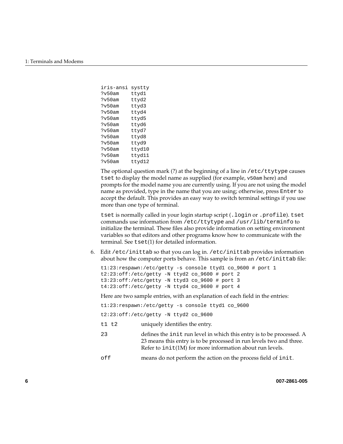```
iris-ansi systty
?v50am ttyd1
?v50am ttyd2
?v50am ttyd3
?v50am ttyd4
?v50am ttyd5
?v50am ttyd6
?v50am ttyd7
?v50am ttyd8
?v50am ttyd9
?v50am ttyd10
?v50am ttyd11
?v50am ttyd12
```
The optional question mark (?) at the beginning of a line in /etc/ttytype causes tset to display the model name as supplied (for example, v50am here) and prompts for the model name you are currently using. If you are not using the model name as provided, type in the name that you are using; otherwise, press Enter to accept the default. This provides an easy way to switch terminal settings if you use more than one type of terminal.

tset is normally called in your login startup script (.login or .profile). tset commands use information from /etc/ttytype and /usr/lib/terminfo to initialize the terminal. These files also provide information on setting environment variables so that editors and other programs know how to communicate with the terminal. See tset(1) for detailed information.

6. Edit /etc/inittab so that you can log in. /etc/inittab provides information about how the computer ports behave. This sample is from an /etc/inittab file:

```
t1:23:respawn:/etc/getty -s console ttyd1 co_9600 # port 1
t2:23:off:/etc/getty -N ttyd2 co_9600 # port 2
t3:23:off:/etc/getty -N ttyd3 co_9600 # port 3
t4:23:off:/etc/getty -N ttyd4 co_9600 # port 4
```
Here are two sample entries, with an explanation of each field in the entries:

```
t1:23:respawn:/etc/getty -s console ttyd1 co_9600
t2:23:off:/etc/getty -N ttyd2 co_9600
```
- t1 t2 uniquely identifies the entry.
- 23 defines the init run level in which this entry is to be processed. A 23 means this entry is to be processed in run levels two and three. Refer to  $init(M)$  for more information about run levels.
- off means do not perform the action on the process field of init.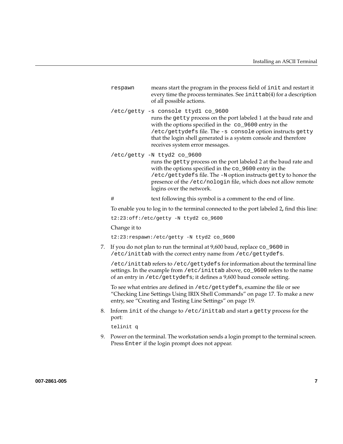| respawn | means start the program in the process field of init and restart it |
|---------|---------------------------------------------------------------------|
|         | every time the process terminates. See initiab(4) for a description |
|         | of all possible actions.                                            |

/etc/getty -s console ttyd1 co\_9600

runs the getty process on the port labeled 1 at the baud rate and with the options specified in the co\_9600 entry in the /etc/gettydefs file. The -s console option instructs getty that the login shell generated is a system console and therefore receives system error messages.

/etc/getty -N ttyd2 co\_9600

runs the getty process on the port labeled 2 at the baud rate and with the options specified in the co\_9600 entry in the /etc/gettydefs file. The -N option instructs getty to honor the presence of the /etc/nologin file, which does not allow remote logins over the network.

# text following this symbol is a comment to the end of line.

To enable you to log in to the terminal connected to the port labeled 2**,** find this line:

t2:23:off:/etc/getty -N ttyd2 co\_9600

Change it to

t2:23:respawn:/etc/getty -N ttyd2 co\_9600

7. If you do not plan to run the terminal at 9,600 baud, replace co\_9600 in /etc/inittab with the correct entry name from /etc/gettydefs.

/etc/inittab refers to /etc/gettydefs for information about the terminal line settings. In the example from /etc/inittab above, co\_9600 refers to the name of an entry in /etc/gettydefs; it defines a 9,600 baud console setting.

To see what entries are defined in /etc/gettydefs, examine the file or see ["Checking Line Settings Using IRIX Shell Commands" on page 17.](#page-38-0) To make a new entry, see ["Creating and Testing Line Settings" on page 19.](#page-40-0)

8. Inform init of the change to /etc/inittab and start a getty process for the port:

telinit q

9. Power on the terminal. The workstation sends a login prompt to the terminal screen. Press Enter if the login prompt does not appear.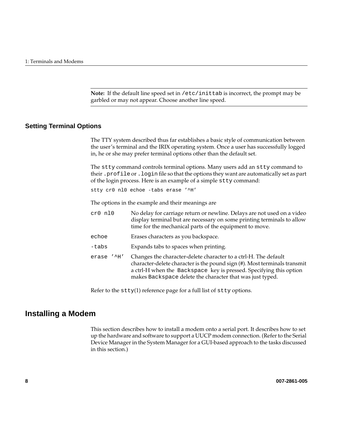**Note:** If the default line speed set in /etc/inittab is incorrect, the prompt may be garbled or may not appear. Choose another line speed.

### <span id="page-29-0"></span>**Setting Terminal Options**

The TTY system described thus far establishes a basic style of communication between the user's terminal and the IRIX operating system. Once a user has successfully logged in, he or she may prefer terminal options other than the default set.

The stty command controls terminal options. Many users add an stty command to their .profile or .login file so that the options they want are automatically set as part of the login process. Here is an example of a simple stty command:

stty cr0 nl0 echoe -tabs erase '^H'

The options in the example and their meanings are

| $cr0$ $nl0$         | No delay for carriage return or newline. Delays are not used on a video<br>display terminal but are necessary on some printing terminals to allow<br>time for the mechanical parts of the equipment to move.                                                                    |
|---------------------|---------------------------------------------------------------------------------------------------------------------------------------------------------------------------------------------------------------------------------------------------------------------------------|
| echoe               | Erases characters as you backspace.                                                                                                                                                                                                                                             |
| -tabs               | Expands tabs to spaces when printing.                                                                                                                                                                                                                                           |
| $'$ ^H $'$<br>erase | Changes the character-delete character to a ctrl-H. The default<br>character-delete character is the pound sign (#). Most terminals transmit<br>a ctrl-H when the Backspace key is pressed. Specifying this option<br>makes Backspace delete the character that was just typed. |

Refer to the  $\text{stty}(1)$  reference page for a full list of  $\text{stty}$  options.

### **Installing a Modem**

This section describes how to install a modem onto a serial port. It describes how to set up the hardware and software to support a UUCP modem connection. (Refer to the Serial Device Manager in the System Manager for a GUI-based approach to the tasks discussed in this section.)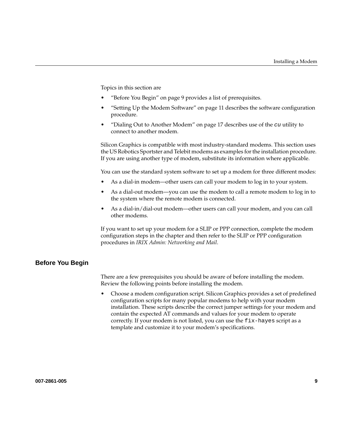Topics in this section are

- "Before You Begin" on page 9 provides a list of prerequisites.
- • ["Setting Up the Modem Software" on page 11](#page-32-0) describes the software configuration procedure.
- "Dialing Out to Another Modem" on page 17 describes use of the  $cu$  utility to connect to another modem.

Silicon Graphics is compatible with most industry-standard modems. This section uses the US Robotics Sportster and Telebit modems as examples for the installation procedure. If you are using another type of modem, substitute its information where applicable.

You can use the standard system software to set up a modem for three different modes:

- As a dial-in modem—other users can call your modem to log in to your system.
- As a dial-out modem—you can use the modem to call a remote modem to log in to the system where the remote modem is connected.
- As a dial-in/dial-out modem—other users can call your modem, and you can call other modems.

If you want to set up your modem for a SLIP or PPP connection, complete the modem configuration steps in the chapter and then refer to the SLIP or PPP configuration procedures in *IRIX Admin: Networking and Mail*.

#### **Before You Begin**

There are a few prerequisites you should be aware of before installing the modem. Review the following points before installing the modem.

• Choose a modem configuration script. Silicon Graphics provides a set of predefined configuration scripts for many popular modems to help with your modem installation. These scripts describe the correct jumper settings for your modem and contain the expected AT commands and values for your modem to operate correctly. If your modem is not listed, you can use the fix-hayes script as a template and customize it to your modem's specifications.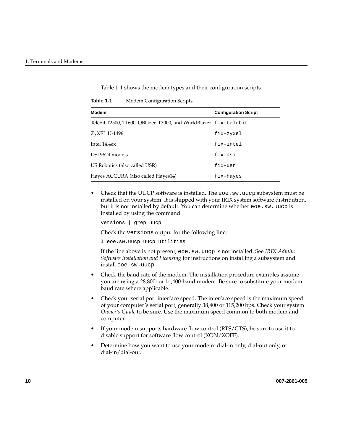| <b>Modem</b>                                                      | <b>Configuration Script</b> |  |  |
|-------------------------------------------------------------------|-----------------------------|--|--|
| Telebit T2500, T1600, QBlazer, T3000, and WorldBlazer fix-telebit |                             |  |  |
| ZyXEL U-1496                                                      | fix-zyxel                   |  |  |
| Intel 14.4ex                                                      | fix-intel                   |  |  |
| DSI 9624 models                                                   | fix-dsi                     |  |  |
| US Robotics (also called USR)                                     | fix-usr                     |  |  |
| Hayes ACCURA (also called Hayes14)                                | fix-hayes                   |  |  |

Table 1-1 shows the modem types and their configuration scripts.

<span id="page-31-0"></span>**Table 1-1** Modem Configuration Scripts

• Check that the UUCP software is installed. The eoe. sw. uucp subsystem must be installed on your system. It is shipped with your IRIX system software distribution, but it is not installed by default. You can determine whether eoe.sw.uucp is installed by using the command

versions | grep uucp

Check the versions output for the following line:

I eoe.sw.uucp uucp utilities

If the line above is not present, eoe.sw.uucp is not installed. See *IRIX Admin: Software Installation and Licensing* for instructions on installing a subsystem and install eoe.sw.uucp.

- Check the baud rate of the modem. The installation procedure examples assume you are using a 28,800- or 14,400-baud modem. Be sure to substitute your modem baud rate where applicable.
- Check your serial port interface speed. The interface speed is the maximum speed of your computer's serial port, generally 38,400 or 115,200 bps. Check your system *Owner's Guide* to be sure. Use the maximum speed common to both modem and computer.
- If your modem supports hardware flow control (RTS/CTS), be sure to use it to disable support for software flow control (XON/XOFF).
- Determine how you want to use your modem: dial-in only, dial-out only, or dial-in/dial-out.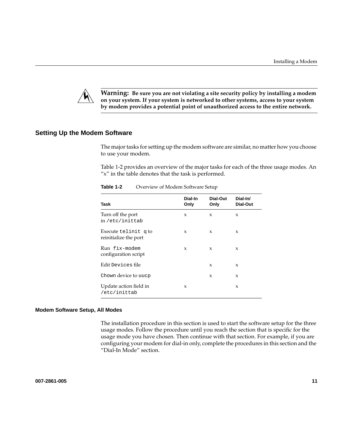<span id="page-32-0"></span>

**Warning: Be sure you are not violating a site security policy by installing a modem on your system. If your system is networked to other systems, access to your system by modem provides a potential point of unauthorized access to the entire network.**

#### **Setting Up the Modem Software**

The major tasks for setting up the modem software are similar, no matter how you choose to use your modem.

Table 1-2 provides an overview of the major tasks for each of the three usage modes. An "x" in the table denotes that the task is performed.

| Task                                          | Dial-In<br>Only | Dial-Out<br>Only | Dial-In/<br>Dial-Out |
|-----------------------------------------------|-----------------|------------------|----------------------|
| Turn off the port<br>in/etc/inittab           | X               | X                | X                    |
| Execute telinit q to<br>reinitialize the port | X               | X                | X                    |
| Run fix-modem<br>configuration script         | X               | X                | X                    |
| Edit Devices file                             |                 | X                | $\boldsymbol{\chi}$  |
| Chown device to uucp                          |                 | X                | $\boldsymbol{\chi}$  |
| Update action field in<br>/etc/inittab        | X               |                  | X                    |

**Table 1-2** Overview of Modem Software Setup

#### **Modem Software Setup, All Modes**

The installation procedure in this section is used to start the software setup for the three usage modes. Follow the procedure until you reach the section that is specific for the usage mode you have chosen. Then continue with that section. For example, if you are configuring your modem for dial-in only, complete the procedures in this section and the ["Dial-In Mode" s](#page-35-0)ection.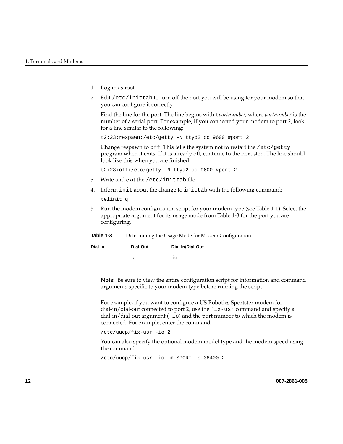- 1. Log in as root.
- 2. Edit /etc/inittab to turn off the port you will be using for your modem so that you can configure it correctly.

Find the line for the port. The line begins with t*portnumber*, where *portnumber* is the number of a serial port. For example, if you connected your modem to port 2, look for a line similar to the following:

t2:23:respawn:/etc/getty -N ttyd2 co\_9600 #port 2

Change respawn to off. This tells the system not to restart the /etc/getty program when it exits. If it is already off, continue to the next step. The line should look like this when you are finished:

t2:23:off:/etc/getty -N ttyd2 co\_9600 #port 2

- 3. Write and exit the /etc/inittab file.
- 4. Inform init about the change to inittab with the following command:

telinit q

5. Run the modem configuration script for your modem type (se[e Table 1-1](#page-31-0)). Select the appropriate argument for its usage mode from Table 1-3 for the port you are configuring.

| Table 1-3 |  |  | Determining the Usage Mode for Modem Configuration |
|-----------|--|--|----------------------------------------------------|
|-----------|--|--|----------------------------------------------------|

| Dial-In   | Dial-Out | Dial-In/Dial-Out |
|-----------|----------|------------------|
| ٠<br>$-1$ | $\alpha$ | $-10$            |

**Note:** Be sure to view the entire configuration script for information and command arguments specific to your modem type before running the script.

For example, if you want to configure a US Robotics Sportster modem for dial-in/dial-out connected to port 2, use the fix-usr command and specify a dial-in/dial-out argument  $(-i\circ)$  and the port number to which the modem is connected. For example, enter the command

/etc/uucp/fix-usr -io 2

You can also specify the optional modem model type and the modem speed using the command

/etc/uucp/fix-usr -io -m SPORT -s 38400 2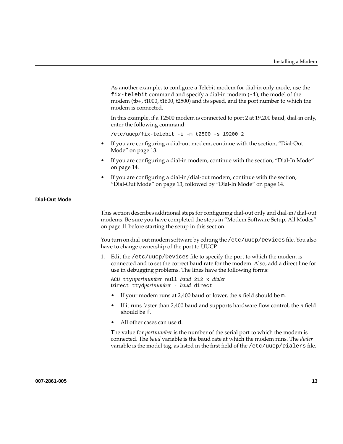<span id="page-34-0"></span>As another example, to configure a Telebit modem for dial-in only mode, use the  $fix$ -telebit command and specify a dial-in modem  $(-i)$ , the model of the modem (tb+, t1000, t1600, t2500) and its speed, and the port number to which the modem is connected.

In this example, if a T2500 modem is connected to port 2 at 19,200 baud, dial-in only, enter the following command:

```
/etc/uucp/fix-telebit -i -m t2500 -s 19200 2
```
- If you are configuring a dial-out modem, continue with the section, "Dial-Out Mode" on page 13.
- If you are configuring a dial-in modem, continue with the section, ["Dial-In Mode"](#page-35-0) [on page 14](#page-35-0).
- If you are configuring a dial-in/dial-out modem, continue with the section, "Dial-Out Mode" on page 13, followed by ["Dial-In Mode" on page 14.](#page-35-0)

#### **Dial-Out Mode**

This section describes additional steps for configuring dial-out only and dial-in/dial-out modems. Be sure you have completed the steps in ["Modem Software Setup, All Modes"](#page-32-0) [on page 11](#page-32-0) before starting the setup in this section.

You turn on dial-out modem software by editing the /etc/uucp/Devices file. You also have to change ownership of the port to UUCP.

1. Edit the /etc/uucp/Devices file to specify the port to which the modem is connected and to set the correct baud rate for the modem. Also, add a direct line for use in debugging problems. The lines have the following forms:

ACU tty*nportnumber* null *baud* 212 x *dialer* Direct ttyd*portnumber* - *baud* direct

- If your modem runs at 2,400 baud or lower, the *n* field should be m.
- If it runs faster than 2,400 baud and supports hardware flow control, the *n* field should be f.
- All other cases can use d.

The value for *portnumber* is the number of the serial port to which the modem is connected. The *baud* variable is the baud rate at which the modem runs. The *dialer* variable is the model tag, as listed in the first field of the /etc/uucp/Dialers file.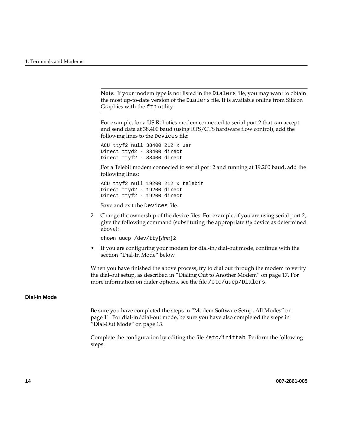<span id="page-35-0"></span>**Note:** If your modem type is not listed in the Dialers file, you may want to obtain the most up-to-date version of the Dialers file. It is available online from Silicon Graphics with the  $f$ t putility.

For example, for a US Robotics modem connected to serial port 2 that can accept and send data at 38,400 baud (using RTS/CTS hardware flow control), add the following lines to the Devices file:

ACU ttyf2 null 38400 212 x usr Direct ttyd2 - 38400 direct Direct ttyf2 - 38400 direct

For a Telebit modem connected to serial port 2 and running at 19,200 baud, add the following lines:

ACU ttyf2 null 19200 212 x telebit Direct ttyd2 - 19200 direct Direct ttyf2 - 19200 direct

Save and exit the Devices file.

2. Change the ownership of the device files. For example, if you are using serial port 2, give the following command (substituting the appropriate *tty* device as determined above):

chown uucp /dev/tty[*dfm*]2

• If you are configuring your modem for dial-in/dial-out mode, continue with the section "Dial-In Mode" below.

When you have finished the above process, try to dial out through the modem to verify the dial-out setup, as described in ["Dialing Out to Another Modem" on page 17.](#page-38-0) For more information on dialer options, see the file /etc/uucp/Dialers.

#### **Dial-In Mode**

Be sure you have completed the steps in ["Modem Software Setup, All Modes" on](#page-32-0) [page 11.](#page-32-0) For dial-in/dial-out mode, be sure you have also completed the steps in ["Dial-Out Mode" on page 13.](#page-34-0)

Complete the configuration by editing the file /etc/inittab. Perform the following steps: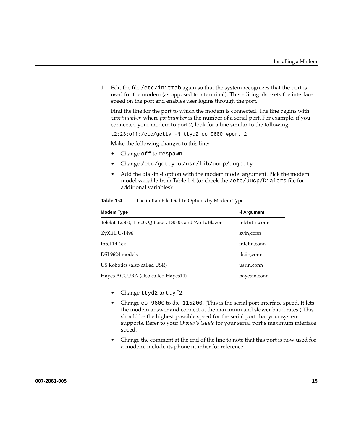1. Edit the file /etc/inittab again so that the system recognizes that the port is used for the modem (as opposed to a terminal). This editing also sets the interface speed on the port and enables user logins through the port.

Find the line for the port to which the modem is connected. The line begins with t*portnumber*, where *portnumber* is the number of a serial port. For example, if you connected your modem to port 2, look for a line similar to the following:

t2:23:off:/etc/getty -N ttyd2 co\_9600 #port 2

Make the following changes to this line:

- Change off to respawn.
- Change /etc/getty to /usr/lib/uucp/uugetty.
- Add the dial-in **-i** option with the modem model argument. Pick the modem model variable from Table 1-4 (or check the /etc/uucp/Dialers file for additional variables):

| Modem Type                                            | -i Argument     |
|-------------------------------------------------------|-----------------|
| Telebit T2500, T1600, OBlazer, T3000, and WorldBlazer | telebitin, conn |
| ZyXEL U-1496                                          | zyin, conn      |
| Intel $14.4ex$                                        | intelin, conn   |
| DSI 9624 models                                       | dsiin,conn      |
| US Robotics (also called USR)                         | usrin, conn     |
| Hayes ACCURA (also called Hayes14)                    | hayesin, conn   |

**Table 1-4** The inittab File Dial-In Options by Modem Type

- Change ttyd2 to ttyf2.
- Change co\_9600 to dx\_115200. (This is the serial port interface speed. It lets the modem answer and connect at the maximum and slower baud rates.) This should be the highest possible speed for the serial port that your system supports. Refer to your *Owner's Guide* for your serial port's maximum interface speed.
- Change the comment at the end of the line to note that this port is now used for a modem; include its phone number for reference.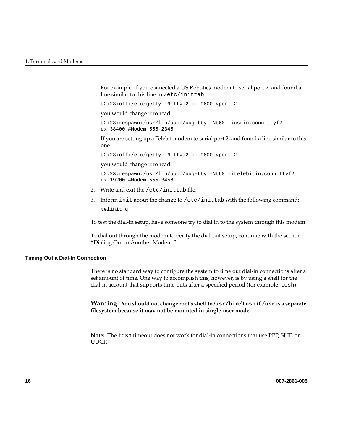For example, if you connected a US Robotics modem to serial port 2, and found a line similar to this line in /etc/inittab

t2:23:off:/etc/getty -N ttyd2 co\_9600 #port 2

you would change it to read

t2:23:respawn:/usr/lib/uucp/uugetty -Nt60 -iusrin,conn ttyf2 dx\_38400 #Modem 555-2345

If you are setting up a Telebit modem to serial port 2, and found a line similar to this one

t2:23:off:/etc/getty -N ttyd2 co\_9600 #port 2

you would change it to read

```
t2:23:respawn:/usr/lib/uucp/uugetty -Nt60 -itelebitin,conn ttyf2
dx_19200 #Modem 555-3456
```
- 2. Write and exit the /etc/inittab file.
- 3. Inform init about the change to /etc/inittab with the following command: telinit q

To test the dial-in setup, have someone try to dial in to the system through this modem.

To dial out through the modem to verify the dial-out setup, continue with the section ["Dialing Out to Another Modem."](#page-38-0)

#### **Timing Out a Dial-In Connection**

There is no standard way to configure the system to time out dial-in connections after a set amount of time. One way to accomplish this, however, is by using a shell for the dial-in account that supports time-outs after a specified period (for example, tcsh).

**Warning: You should not change root's shell to /usr/bin/tcsh if /usr is a separate filesystem because it may not be mounted in single-user mode.**

**Note:** The tcsh timeout does not work for dial-in connections that use PPP, SLIP, or UUCP.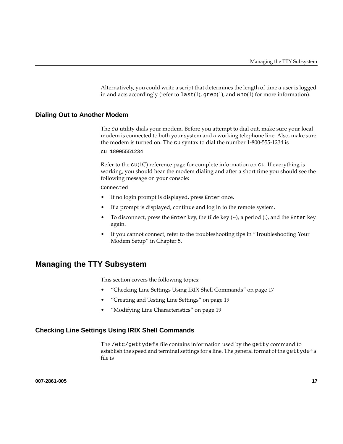Alternatively, you could write a script that determines the length of time a user is logged in and acts accordingly (refer to  $last(1)$ ,  $grep(1)$ , and who(1) for more information).

### <span id="page-38-0"></span>**Dialing Out to Another Modem**

The cu utility dials your modem. Before you attempt to dial out, make sure your local modem is connected to both your system and a working telephone line. Also, make sure the modem is turned on. The cu syntax to dial the number 1-800-555-1234 is

cu 18005551234

Refer to the  $cu(1C)$  reference page for complete information on cu. If everything is working, you should hear the modem dialing and after a short time you should see the following message on your console:

#### Connected

- If no login prompt is displayed, press Enter once.
- If a prompt is displayed, continue and log in to the remote system.
- To disconnect, press the Enter key, the tilde key  $(\sim)$ , a period (.), and the Enter key again.
- If you cannot connect, refer to the troubleshooting tips in ["Troubleshooting Your](#page-84-0) [Modem Setup" in Chapter 5.](#page-84-0)

## **Managing the TTY Subsystem**

This section covers the following topics:

- "Checking Line Settings Using IRIX Shell Commands" on page 17
- • ["Creating and Testing Line Settings" on page 19](#page-40-0)
- • ["Modifying Line Characteristics" on page 19](#page-40-0)

### **Checking Line Settings Using IRIX Shell Commands**

The /etc/gettydefs file contains information used by the getty command to establish the speed and terminal settings for a line. The general format of the gettydefs file is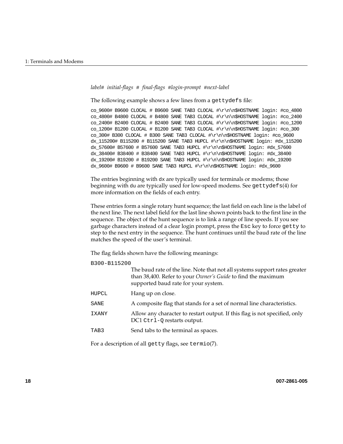```
label# initial-flags # final-flags #login-prompt #next-label
```
The following example shows a few lines from a gettydefs file:

co\_9600# B9600 CLOCAL # B9600 SANE TAB3 CLOCAL #\r\n\n\$HOSTNAME login: #co\_4800 co\_4800# B4800 CLOCAL # B4800 SANE TAB3 CLOCAL #\r\n\n\$HOSTNAME login: #co\_2400 co\_2400# B2400 CLOCAL # B2400 SANE TAB3 CLOCAL  $\r\r\n\n\pi$ SHOSTNAME login: #co\_1200 co\_1200# B1200 CLOCAL # B1200 SANE TAB3 CLOCAL #\r\n\n\$HOSTNAME login: #co\_300 co\_300# B300 CLOCAL # B300 SANE TAB3 CLOCAL #\r\n\n\$HOSTNAME login: #co\_9600 dx\_115200# B115200 # B115200 SANE TAB3 HUPCL #\r\n\n\$HOSTNAME login: #dx\_115200 dx\_57600# B57600 # B57600 SANE TAB3 HUPCL #\r\n\n\$HOSTNAME login: #dx\_57600 dx\_38400# B38400 # B38400 SANE TAB3 HUPCL #\r\n\n\$HOSTNAME login: #dx\_38400 dx\_19200# B19200 # B19200 SANE TAB3 HUPCL #\r\n\n\$HOSTNAME login: #dx\_19200 dx\_9600# B9600 # B9600 SANE TAB3 HUPCL #\r\n\n\$HOSTNAME login: #dx\_9600

The entries beginning with dx are typically used for terminals or modems; those beginning with du are typically used for low-speed modems. See gettydefs(4) for more information on the fields of each entry.

These entries form a single rotary hunt sequence; the last field on each line is the label of the next line. The next label field for the last line shown points back to the first line in the sequence. The object of the hunt sequence is to link a range of line speeds. If you see garbage characters instead of a clear login prompt, press the Esc key to force getty to step to the next entry in the sequence. The hunt continues until the baud rate of the line matches the speed of the user's terminal.

The flag fields shown have the following meanings:

B300-B115200

|       | The baud rate of the line. Note that not all systems support rates greater<br>than 38,400. Refer to your Owner's Guide to find the maximum<br>supported baud rate for your system. |
|-------|------------------------------------------------------------------------------------------------------------------------------------------------------------------------------------|
| HUPCL | Hang up on close.                                                                                                                                                                  |
| SANE  | A composite flag that stands for a set of normal line characteristics.                                                                                                             |
| IXANY | Allow any character to restart output. If this flag is not specified, only<br>DC1 Ctrl-Q restarts output.                                                                          |
| TAB3  | Send tabs to the terminal as spaces.                                                                                                                                               |

For a description of all getty flags, see termio(7).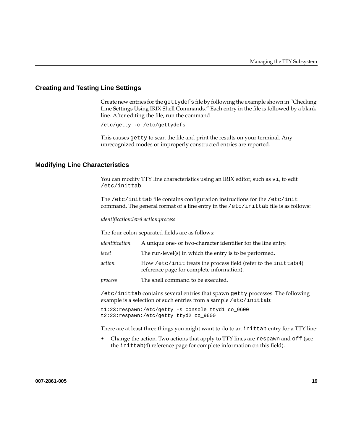## <span id="page-40-0"></span>**Creating and Testing Line Settings**

Create new entries for the gettydefs file by following the example shown in ["Checking](#page-38-0) [Line Settings Using IRIX Shell Commands."](#page-38-0) Each entry in the file is followed by a blank line. After editing the file, run the command

/etc/getty -c /etc/gettydefs

This causes getty to scan the file and print the results on your terminal. Any unrecognized modes or improperly constructed entries are reported.

### **Modifying Line Characteristics**

You can modify TTY line characteristics using an IRIX editor, such as vi, to edit /etc/inittab.

The /etc/inittab file contains configuration instructions for the /etc/init command. The general format of a line entry in the /etc/inittab file is as follows:

*identification*:*level*:*action*:*process*

The four colon-separated fields are as follows:

| identification | A unique one- or two-character identifier for the line entry.                                                |
|----------------|--------------------------------------------------------------------------------------------------------------|
| level          | The run-level(s) in which the entry is to be performed.                                                      |
| action         | How /etc/init treats the process field (refer to the inittab(4)<br>reference page for complete information). |
| process        | The shell command to be executed.                                                                            |

/etc/inittab contains several entries that spawn getty processes. The following example is a selection of such entries from a sample /etc/inittab:

t1:23:respawn:/etc/getty -s console ttyd1 co\_9600 t2:23:respawn:/etc/getty ttyd2 co\_9600

There are at least three things you might want to do to an inittab entry for a TTY line:

• Change the action. Two actions that apply to TTY lines are respawn and off (see the inittab(4) reference page for complete information on this field).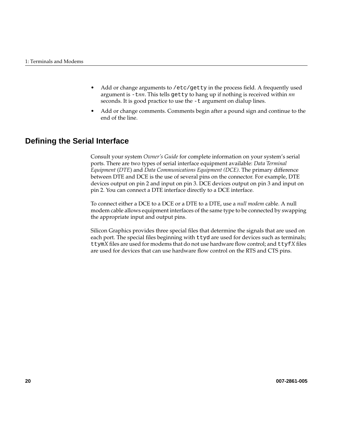- Add or change arguments to /etc/getty in the process field. A frequently used argument is -t*nn*. This tells getty to hang up if nothing is received within *nn* seconds. It is good practice to use the -t argument on dialup lines.
- Add or change comments. Comments begin after a pound sign and continue to the end of the line.

## **Defining the Serial Interface**

Consult your system *Owner's Guide* for complete information on your system's serial ports. There are two types of serial interface equipment available: *Data Terminal Equipment* (*DTE*) and *Data Communications Equipment (DCE)*. The primary difference between DTE and DCE is the use of several pins on the connector. For example, DTE devices output on pin 2 and input on pin 3. DCE devices output on pin 3 and input on pin 2. You can connect a DTE interface directly to a DCE interface.

To connect either a DCE to a DCE or a DTE to a DTE, use a *null modem* cable. A null modem cable allows equipment interfaces of the same type to be connected by swapping the appropriate input and output pins.

Silicon Graphics provides three special files that determine the signals that are used on each port. The special files beginning with ttyd are used for devices such as terminals; ttym*X* files are used for modems that do not use hardware flow control; and ttyf*X* files are used for devices that can use hardware flow control on the RTS and CTS pins.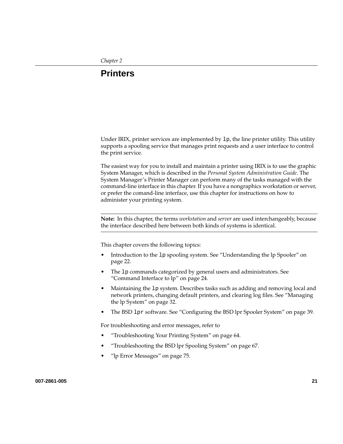# **2. Printers**

Under IRIX, printer services are implemented by  $1p$ , the line printer utility. This utility supports a spooling service that manages print requests and a user interface to control the print service.

The easiest way for you to install and maintain a printer using IRIX is to use the graphic System Manager, which is described in the *Personal System Administration Guide*. The System Manager's Printer Manager can perform many of the tasks managed with the command-line interface in this chapter. If you have a nongraphics workstation or server, or prefer the comand-line interface, use this chapter for instructions on how to administer your printing system.

**Note:** In this chapter, the terms *workstation* and *server* are used interchangeably, because the interface described here between both kinds of systems is identical.

This chapter covers the following topics:

- Introduction to the lp spooling system. See ["Understanding the lp Spooler" on](#page-43-0) [page 22.](#page-43-0)
- The lp commands categorized by general users and administrators. See ["Command Interface to lp" on page 24](#page-45-0).
- Maintaining the lp system. Describes tasks such as adding and removing local and network printers, changing default printers, and clearing log files. See "[Managing](#page-53-0) [the lp System" on page 32.](#page-53-0)
- The BSD lpr software. See ["Configuring the BSD lpr Spooler System" on page 39.](#page-60-0)

For troubleshooting and error messages, refer to

- • ["Troubleshooting Your Printing System" on page 64](#page-85-0).
- • ["Troubleshooting the BSD lpr Spooling System" on page 67.](#page-88-0)
- • ["lp Error Messages" on page 75](#page-96-0).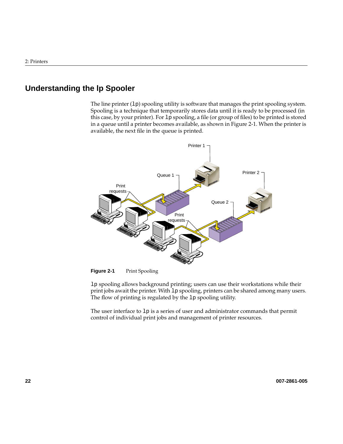## <span id="page-43-0"></span>**Understanding the lp Spooler**

The line printer  $(1p)$  spooling utility is software that manages the print spooling system. Spooling is a technique that temporarily stores data until it is ready to be processed (in this case, by your printer). For lp spooling, a file (or group of files) to be printed is stored in a queue until a printer becomes available, as shown in Figure 2-1. When the printer is available, the next file in the queue is printed.



**Figure 2-1** Print Spooling

lp spooling allows background printing; users can use their workstations while their print jobs await the printer. With lp spooling, printers can be shared among many users. The flow of printing is regulated by the 1p spooling utility.

The user interface to lp is a series of user and administrator commands that permit control of individual print jobs and management of printer resources.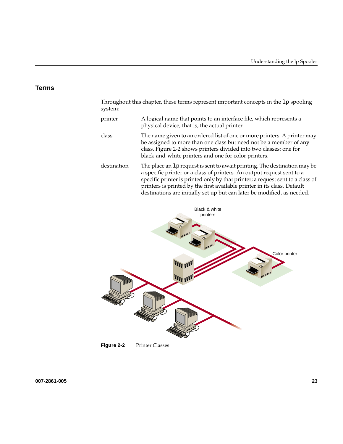### **Terms**

Throughout this chapter, these terms represent important concepts in the lp spooling system:

- printer A logical name that points to an interface file, which represents a physical device, that is, the actual printer.
- class The name given to an ordered list of one or more printers. A printer may be assigned to more than one class but need not be a member of any class. Figure 2-2 shows printers divided into two classes: one for black-and-white printers and one for color printers.
- destination The place an lp request is sent to await printing. The destination may be a specific printer or a class of printers. An output request sent to a specific printer is printed only by that printer; a request sent to a class of printers is printed by the first available printer in its class. Default destinations are initially set up but can later be modified, as needed.



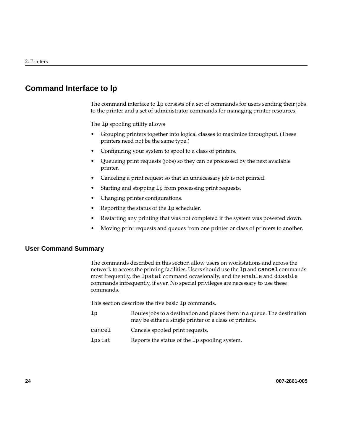## <span id="page-45-0"></span>**Command Interface to lp**

The command interface to lp consists of a set of commands for users sending their jobs to the printer and a set of administrator commands for managing printer resources.

The lp spooling utility allows

- Grouping printers together into logical classes to maximize throughput. (These printers need not be the same type.)
- Configuring your system to spool to a class of printers.
- Queueing print requests (jobs) so they can be processed by the next available printer.
- Canceling a print request so that an unnecessary job is not printed.
- Starting and stopping lp from processing print requests.
- Changing printer configurations.
- Reporting the status of the 1p scheduler.
- Restarting any printing that was not completed if the system was powered down.
- Moving print requests and queues from one printer or class of printers to another.

### **User Command Summary**

The commands described in this section allow users on workstations and across the network to access the printing facilities. Users should use the lp and cancel commands most frequently, the lpstat command occasionally, and the enable and disable commands infrequently, if ever. No special privileges are necessary to use these commands.

This section describes the five basic lp commands.

- lp Routes jobs to a destination and places them in a queue. The destination may be either a single printer or a class of printers.
- cancel Cancels spooled print requests.
- lpstat Reports the status of the lp spooling system.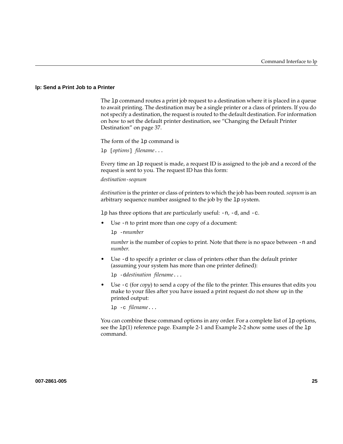#### **lp: Send a Print Job to a Printer**

The lp command routes a print job request to a destination where it is placed in a queue to await printing. The destination may be a single printer or a class of printers. If you do not specify a destination, the request is routed to the default destination. For information on how to set the default printer destination, see ["Changing the Default Printer](#page-58-0) [Destination" on page 37.](#page-58-0)

The form of the lp command is

lp [*options*] *filename*...

Every time an lp request is made, a request ID is assigned to the job and a record of the request is sent to you. The request ID has this form:

*destination*-*seqnum*

*destination* is the printer or class of printers to which the job has been routed. *seqnum* is an arbitrary sequence number assigned to the job by the lp system.

1 $p$  has three options that are particularly useful:  $-n$ ,  $-d$ , and  $-c$ .

Use -n to print more than one copy of a document:

lp -n*number*

*number* is the number of copies to print. Note that there is no space between -n and *number*.

• Use -d to specify a printer or class of printers other than the default printer (assuming your system has more than one printer defined):

lp -d*destination filename*...

• Use -c (for *copy*) to send a copy of the file to the printer. This ensures that edits you make to your files after you have issued a print request do not show up in the printed output:

lp -c *filename*...

You can combine these command options in any order. For a complete list of 1p options, see the  $1p(1)$  reference page. [Example 2-1 a](#page-47-0)nd [Example 2-2 s](#page-47-0)how some uses of the  $1p$ command.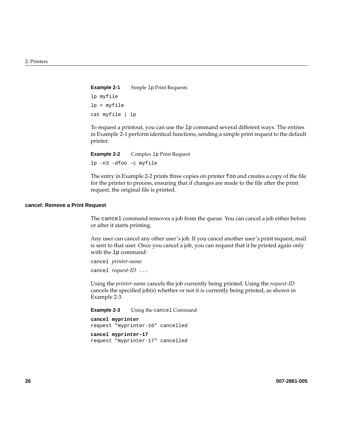<span id="page-47-0"></span>**Example 2-1** Simple 1p Print Requests lp myfile lp < myfile cat myfile | lp

To request a printout, you can use the lp command several different ways. The entries in Example 2-1 perform identical functions, sending a simple print request to the default printer.

**Example 2-2** Complex 1p Print Request lp -n3 -dfoo -c myfile

The entry in Example 2-2 prints three copies on printer foo and creates a copy of the file for the printer to process, ensuring that if changes are made to the file after the print request, the original file is printed.

#### **cancel: Remove a Print Request**

The cancel command removes a job from the queue. You can cancel a job either before or after it starts printing.

Any user can cancel any other user's job. If you cancel another user's print request, mail is sent to that user. Once you cancel a job, you can request that it be printed again only with the lp command:

```
cancel printer-name
cancel request-ID ...
```
Using the *printer-name* cancels the job currently being printed. Using the *request-ID* cancels the specified job(s) whether or not it is currently being printed, as shown in Example 2-3.

**Example 2-3** Using the cancel Command

```
cancel myprinter
request "myprinter-16" cancelled
cancel myprinter-17
request "myprinter-17" cancelled
```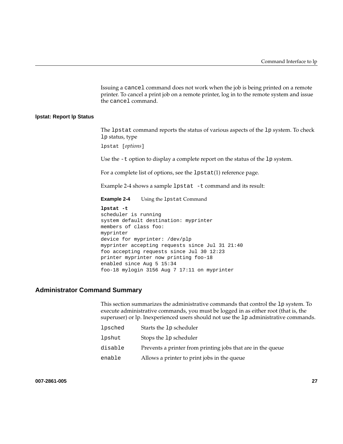Issuing a cancel command does not work when the job is being printed on a remote printer. To cancel a print job on a remote printer, log in to the remote system and issue the cancel command.

#### **lpstat: Report lp Status**

The lpstat command reports the status of various aspects of the lp system. To check lp status, type

lpstat [*options*]

Use the  $-t$  option to display a complete report on the status of the 1p system.

For a complete list of options, see the lpstat(1) reference page.

Example 2-4 shows a sample lpstat -t command and its result:

**Example 2-4** Using the 1pstat Command

**lpstat -t** scheduler is running system default destination: myprinter members of class foo: myprinter device for myprinter: /dev/plp myprinter accepting requests since Jul 31 21:40 foo accepting requests since Jul 30 12:23 printer myprinter now printing foo-18 enabled since Aug 5 15:34 foo-18 mylogin 3156 Aug 7 17:11 on myprinter

### **Administrator Command Summary**

This section summarizes the administrative commands that control the lp system. To execute administrative commands, you must be logged in as either root (that is, the superuser) or lp. Inexperienced users should not use the lp administrative commands.

| lpsched | Starts the 1p scheduler                                     |
|---------|-------------------------------------------------------------|
| lpshut  | Stops the 1p scheduler                                      |
| disable | Prevents a printer from printing jobs that are in the queue |
| enable  | Allows a printer to print jobs in the queue                 |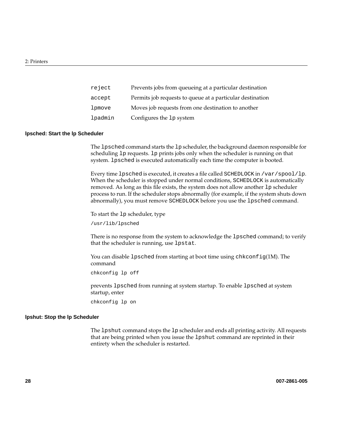| reject  | Prevents jobs from queueing at a particular destination   |
|---------|-----------------------------------------------------------|
| accept  | Permits job requests to queue at a particular destination |
| lpmove  | Moves job requests from one destination to another        |
| lpadmin | Configures the 1p system                                  |

#### **lpsched: Start the lp Scheduler**

The lpsched command starts the lp scheduler, the background daemon responsible for scheduling lp requests. lp prints jobs only when the scheduler is running on that system. lpsched is executed automatically each time the computer is booted.

Every time lpsched is executed, it creates a file called SCHEDLOCK in /var/spool/lp. When the scheduler is stopped under normal conditions, SCHEDLOCK is automatically removed. As long as this file exists, the system does not allow another lp scheduler process to run. If the scheduler stops abnormally (for example, if the system shuts down abnormally), you must remove SCHEDLOCK before you use the lpsched command.

To start the lp scheduler, type

/usr/lib/lpsched

There is no response from the system to acknowledge the lpsched command; to verify that the scheduler is running, use lpstat.

You can disable 1 psched from starting at boot time using chkconfig(1M). The command

chkconfig lp off

prevents lpsched from running at system startup. To enable lpsched at system startup, enter

chkconfig lp on

#### **lpshut: Stop the lp Scheduler**

The lpshut command stops the lp scheduler and ends all printing activity. All requests that are being printed when you issue the lpshut command are reprinted in their entirety when the scheduler is restarted.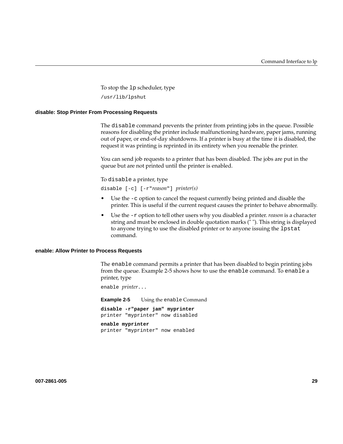To stop the lp scheduler, type

/usr/lib/lpshut

#### **disable: Stop Printer From Processing Requests**

The disable command prevents the printer from printing jobs in the queue. Possible reasons for disabling the printer include malfunctioning hardware, paper jams, running out of paper, or end-of-day shutdowns. If a printer is busy at the time it is disabled, the request it was printing is reprinted in its entirety when you reenable the printer.

You can send job requests to a printer that has been disabled. The jobs are put in the queue but are not printed until the printer is enabled.

To disable a printer, type

disable [-c] [-r"*reason*"] *printer(s)*

- Use the  $-e$  option to cancel the request currently being printed and disable the printer. This is useful if the current request causes the printer to behave abnormally.
- Use the -r option to tell other users why you disabled a printer. *reason* is a character string and must be enclosed in double quotation marks (" "). This string is displayed to anyone trying to use the disabled printer or to anyone issuing the lpstat command.

#### **enable: Allow Printer to Process Requests**

The enable command permits a printer that has been disabled to begin printing jobs from the queue. Example 2-5 shows how to use the enable command. To enable a printer, type

enable *printer*...

**Example 2-5** Using the enable Command **disable -r"paper jam" myprinter** printer "myprinter" now disabled

**enable myprinter** printer "myprinter" now enabled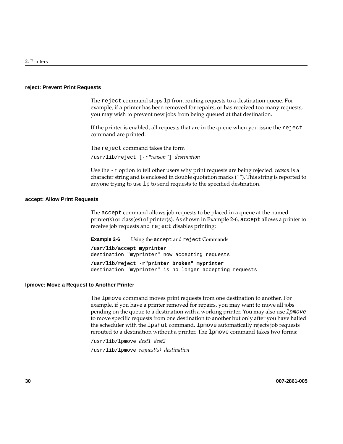#### **reject: Prevent Print Requests**

The reject command stops lp from routing requests to a destination queue. For example, if a printer has been removed for repairs, or has received too many requests, you may wish to prevent new jobs from being queued at that destination.

If the printer is enabled, all requests that are in the queue when you issue the reject command are printed.

The reject command takes the form

/usr/lib/reject [-r"*reason*"] *destination*

Use the -r option to tell other users why print requests are being rejected. *reason* is a character string and is enclosed in double quotation marks (" "). This string is reported to anyone trying to use lp to send requests to the specified destination.

#### **accept: Allow Print Requests**

The accept command allows job requests to be placed in a queue at the named printer(s) or class(es) of printer(s). As shown in Example 2-6, accept allows a printer to receive job requests and reject disables printing:

**Example 2-6** Using the accept and reject Commands

**/usr/lib/accept myprinter** destination "myprinter" now accepting requests

**/usr/lib/reject -r"printer broken" myprinter** destination "myprinter" is no longer accepting requests

#### **lpmove: Move a Request to Another Printer**

The lpmove command moves print requests from one destination to another. For example, if you have a printer removed for repairs, you may want to move all jobs pending on the queue to a destination with a working printer. You may also use lpmove to move specific requests from one destination to another but only after you have halted the scheduler with the lpshut command. lpmove automatically rejects job requests rerouted to a destination without a printer. The lpmove command takes two forms:

/usr/lib/lpmove *dest1 dest2* /usr/lib/lpmove *request(s) destination*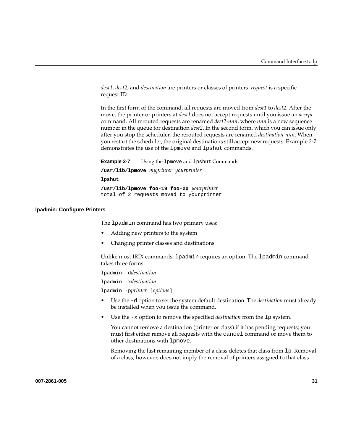*dest1, dest2*, and *destination* are printers or classes of printers. *request* is a specific request ID.

In the first form of the command, all requests are moved from *dest1* to *dest2*. After the move, the printer or printers at *dest1* does not accept requests until you issue an *accept* command. All rerouted requests are renamed *dest2-nnn*, where *nnn* is a new sequence number in the queue for destination *dest2*. In the second form, which you can issue only after you stop the scheduler, the rerouted requests are renamed *destination-nnn*. When you restart the scheduler, the original destinations still accept new requests. Example 2-7 demonstrates the use of the lpmove and lpshut commands.

**Example 2-7** Using the 1pmove and 1pshut Commands **/usr/lib/lpmove** *myprinter yourprinter* **lpshut /usr/lib/lpmove foo-19 foo-20** *yourprinter* total of 2 requests moved to yourprinter

#### **lpadmin: Configure Printers**

The lpadmin command has two primary uses:

- Adding new printers to the system
- Changing printer classes and destinations

Unlike most IRIX commands, lpadmin requires an option. The lpadmin command takes three forms:

lpadmin -d*destination*

lpadmin -x*destination*

lpadmin -p*printer* [*options*]

- Use the -d option to set the system default destination. The *destination* must already be installed when you issue the command.
- Use the -x option to remove the specified *destination* from the lp system.

You cannot remove a destination (printer or class) if it has pending requests; you must first either remove all requests with the cancel command or move them to other destinations with lpmove.

Removing the last remaining member of a class deletes that class from lp. Removal of a class, however, does not imply the removal of printers assigned to that class.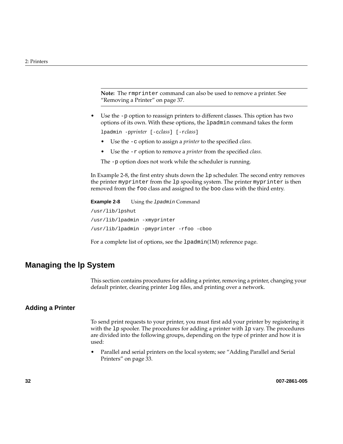<span id="page-53-0"></span>**Note:** The rmprinter command can also be used to remove a printer. See ["Removing a Printer" on page 37](#page-58-0).

• Use the -p option to reassign printers to different classes. This option has two options of its own. With these options, the lpadmin command takes the form

lpadmin -p*printer* [-c*class*] [-r*class*]

- Use the -c option to assign a *printer* to the specified *class.*
- Use the -r option to remove a *printer* from the specified *class.*

The -p option does not work while the scheduler is running.

In Example 2-8, the first entry shuts down the lp scheduler. The second entry removes the printer myprinter from the lp spooling system. The printer myprinter is then removed from the foo class and assigned to the boo class with the third entry.

```
Example 2-8 Using the 1padmin Command
/usr/lib/lpshut
/usr/lib/lpadmin -xmyprinter
/usr/lib/lpadmin -pmyprinter -rfoo -cboo
```
For a complete list of options, see the lpadmin(1M) reference page.

## **Managing the lp System**

This section contains procedures for adding a printer, removing a printer, changing your default printer, clearing printer log files, and printing over a network.

## **Adding a Printer**

To send print requests to your printer, you must first add your printer by registering it with the 1<sub>p</sub> spooler. The procedures for adding a printer with 1<sub>p</sub> vary. The procedures are divided into the following groups, depending on the type of printer and how it is used:

• Parallel and serial printers on the local system; see "[Adding Parallel and Serial](#page-54-0) [Printers" on page 33](#page-54-0).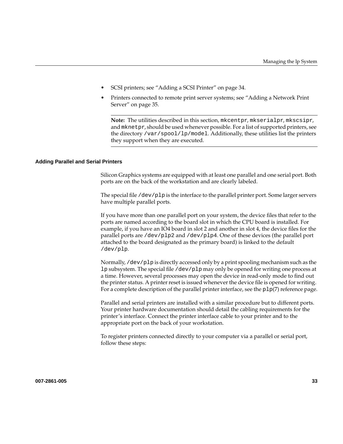- <span id="page-54-0"></span>• SCSI printers; see ["Adding a SCSI Printer" on page 34.](#page-55-0)
- Printers connected to remote print server systems; see ["Adding a Network Print](#page-56-0) [Server" on page 35](#page-56-0).

**Note:** The utilities described in this section, mkcentpr, mkserialpr, mkscsipr, and mknetpr, should be used whenever possible. For a list of supported printers, see the directory /var/spool/lp/model. Additionally, these utilities list the printers they support when they are executed.

#### **Adding Parallel and Serial Printers**

Silicon Graphics systems are equipped with at least one parallel and one serial port. Both ports are on the back of the workstation and are clearly labeled.

The special file /dev/plp is the interface to the parallel printer port. Some larger servers have multiple parallel ports.

If you have more than one parallel port on your system, the device files that refer to the ports are named according to the board slot in which the CPU board is installed. For example, if you have an IO4 board in slot 2 and another in slot 4, the device files for the parallel ports are /dev/plp2 and /dev/plp4. One of these devices (the parallel port attached to the board designated as the primary board) is linked to the default /dev/plp.

Normally, /dev/plp is directly accessed only by a print spooling mechanism such as the lp subsystem. The special file /dev/plp may only be opened for writing one process at a time. However, several processes may open the device in read-only mode to find out the printer status. A printer reset is issued whenever the device file is opened for writing. For a complete description of the parallel printer interface, see the  $p1p(7)$  reference page.

Parallel and serial printers are installed with a similar procedure but to different ports. Your printer hardware documentation should detail the cabling requirements for the printer's interface. Connect the printer interface cable to your printer and to the appropriate port on the back of your workstation.

To register printers connected directly to your computer via a parallel or serial port, follow these steps: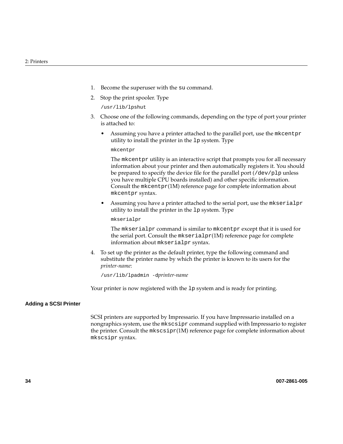- <span id="page-55-0"></span>1. Become the superuser with the su command.
- 2. Stop the print spooler. Type

/usr/lib/lpshut

- 3. Choose one of the following commands, depending on the type of port your printer is attached to:
	- Assuming you have a printer attached to the parallel port, use the mkcentpr utility to install the printer in the lp system. Type

mkcentpr

The mkcentpr utility is an interactive script that prompts you for all necessary information about your printer and then automatically registers it. You should be prepared to specify the device file for the parallel port  $(\angle \text{dev}/p \text{lp}$  unless you have multiple CPU boards installed) and other specific information. Consult the mkcentpr(1M) reference page for complete information about mkcentpr syntax.

• Assuming you have a printer attached to the serial port, use the mkserialpr utility to install the printer in the lp system. Type

mkserialpr

The mkserialpr command is similar to mkcentpr except that it is used for the serial port. Consult the mkserialpr(1M) reference page for complete information about mkserialpr syntax.

4. To set up the printer as the default printer, type the following command and substitute the printer name by which the printer is known to its users for the *printer-name*:

/usr/lib/lpadmin -d*printer-name*

Your printer is now registered with the lp system and is ready for printing.

#### **Adding a SCSI Printer**

SCSI printers are supported by Impressario. If you have Impressario installed on a nongraphics system, use the mkscsipr command supplied with Impressario to register the printer. Consult the mkscsipr(1M) reference page for complete information about mkscsipr syntax.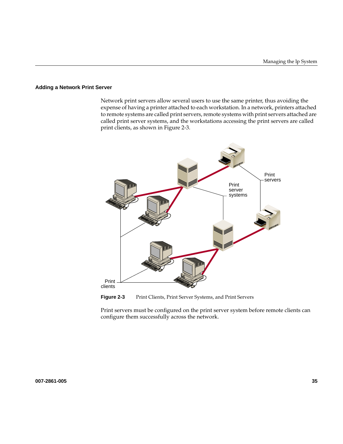#### <span id="page-56-0"></span>**Adding a Network Print Server**

Network print servers allow several users to use the same printer, thus avoiding the expense of having a printer attached to each workstation. In a network, printers attached to remote systems are called print servers, remote systems with print servers attached are called print server systems, and the workstations accessing the print servers are called print clients, as shown in Figure 2-3.



Figure 2-3 Print Clients, Print Server Systems, and Print Servers

Print servers must be configured on the print server system before remote clients can configure them successfully across the network.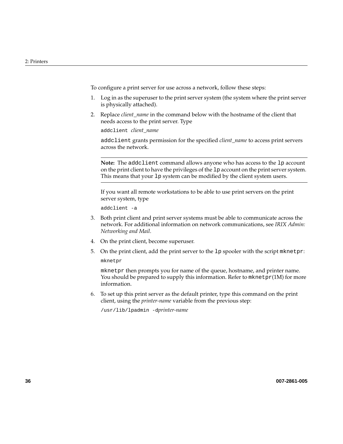To configure a print server for use across a network, follow these steps:

- 1. Log in as the superuser to the print server system (the system where the print server is physically attached).
- 2. Replace *client\_name* in the command below with the hostname of the client that needs access to the print server. Type

addclient *client\_name*

addclient grants permission for the specified *client\_name* to access print servers across the network.

**Note:** The addclient command allows anyone who has access to the lp account on the print client to have the privileges of the lp account on the print server system. This means that your lp system can be modified by the client system users.

If you want all remote workstations to be able to use print servers on the print server system, type

addclient -a

- 3. Both print client and print server systems must be able to communicate across the network. For additional information on network communications, see *IRIX Admin: Networking and Mail*.
- 4. On the print client, become superuser.
- 5. On the print client, add the print server to the lp spooler with the script mknetpr: mknetpr

mknetpr then prompts you for name of the queue, hostname, and printer name. You should be prepared to supply this information. Refer to  $\mathfrak{m}$ knetpr(1M) for more information.

6. To set up this print server as the default printer, type this command on the print client, using the *printer-name* variable from the previous step:

/usr/lib/lpadmin -d*printer-name*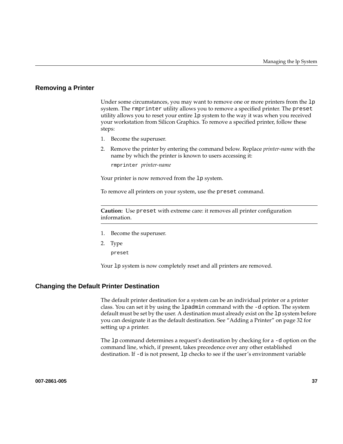### <span id="page-58-0"></span>**Removing a Printer**

Under some circumstances, you may want to remove one or more printers from the 1<sub>P</sub> system. The rmprinter utility allows you to remove a specified printer. The preset utility allows you to reset your entire lp system to the way it was when you received your workstation from Silicon Graphics. To remove a specified printer, follow these steps:

- 1. Become the superuser.
- 2. Remove the printer by entering the command below. Replace *printer-name* with the name by which the printer is known to users accessing it:

rmprinter *printer-name*

Your printer is now removed from the lp system.

To remove all printers on your system, use the preset command.

**Caution:** Use preset with extreme care: it removes all printer configuration information.

- 1. Become the superuser.
- 2. Type

preset

Your lp system is now completely reset and all printers are removed.

### **Changing the Default Printer Destination**

The default printer destination for a system can be an individual printer or a printer class. You can set it by using the lpadmin command with the -d option. The system default must be set by the user. A destination must already exist on the lp system before you can designate it as the default destination. See "[Adding a Printer" on page 32 fo](#page-53-0)r setting up a printer.

The lp command determines a request's destination by checking for a -d option on the command line, which, if present, takes precedence over any other established destination. If -d is not present, lp checks to see if the user's environment variable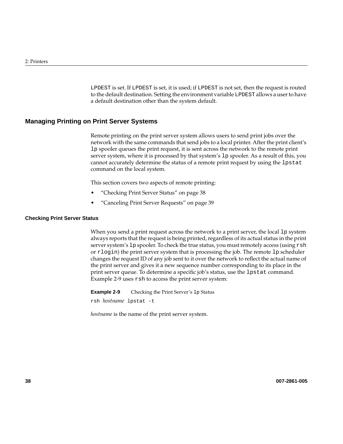LPDEST is set. If LPDEST is set, it is used; if LPDEST is not set, then the request is routed to the default destination. Setting the environment variable LPDEST allows a user to have a default destination other than the system default.

## **Managing Printing on Print Server Systems**

Remote printing on the print server system allows users to send print jobs over the network with the same commands that send jobs to a local printer. After the print client's lp spooler queues the print request, it is sent across the network to the remote print server system, where it is processed by that system's lp spooler. As a result of this, you cannot accurately determine the status of a remote print request by using the lpstat command on the local system.

This section covers two aspects of remote printing:

- "Checking Print Server Status" on page 38
- • ["Canceling Print Server Requests" on page 39](#page-60-0)

#### **Checking Print Server Status**

When you send a print request across the network to a print server, the local 1 p system always reports that the request is being printed, regardless of its actual status in the print server system's lp spooler. To check the true status, you must remotely access (using rsh or rlogin) the print server system that is processing the job. The remote lp scheduler changes the request ID of any job sent to it over the network to reflect the actual name of the print server and gives it a new sequence number corresponding to its place in the print server queue. To determine a specific job's status, use the lpstat command. Example 2-9 uses rsh to access the print server system:

**Example 2-9** Checking the Print Server's 1p Status

rsh *hostname* lpstat -t

*hostname* is the name of the print server system.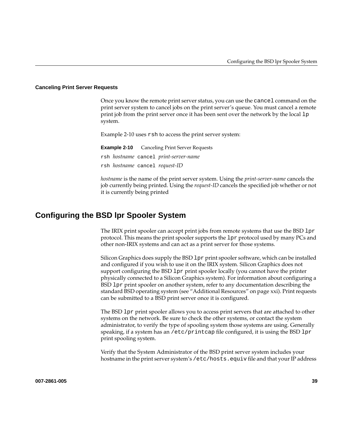#### <span id="page-60-0"></span>**Canceling Print Server Requests**

Once you know the remote print server status, you can use the cancel command on the print server system to cancel jobs on the print server's queue. You must cancel a remote print job from the print server once it has been sent over the network by the local lp system.

Example 2-10 uses rsh to access the print server system:

**Example 2-10** Canceling Print Server Requests rsh *hostname* cancel *print-server-name* rsh *hostname* cancel *request-ID*

*hostname* is the name of the print server system. Using the *print-server-name* cancels the job currently being printed. Using the *request-ID* cancels the specified job whether or not it is currently being printed

## **Configuring the BSD lpr Spooler System**

The IRIX print spooler can accept print jobs from remote systems that use the BSD  $1pr$ protocol. This means the print spooler supports the lpr protocol used by many PCs and other non-IRIX systems and can act as a print server for those systems.

Silicon Graphics does supply the BSD lpr print spooler software, which can be installed and configured if you wish to use it on the IRIX system. Silicon Graphics does not support configuring the BSD lpr print spooler locally (you cannot have the printer physically connected to a Silicon Graphics system). For information about configuring a BSD lpr print spooler on another system, refer to any documentation describing the standard BSD operating system (see ["Additional Resources" on page xxi\)](#page-20-0). Print requests can be submitted to a BSD print server once it is configured.

The BSD lpr print spooler allows you to access print servers that are attached to other systems on the network. Be sure to check the other systems, or contact the system administrator, to verify the type of spooling system those systems are using. Generally speaking, if a system has an /etc/printcap file configured, it is using the BSD  $1pr$ print spooling system.

Verify that the System Administrator of the BSD print server system includes your hostname in the print server system's /etc/hosts.equiv file and that your IP address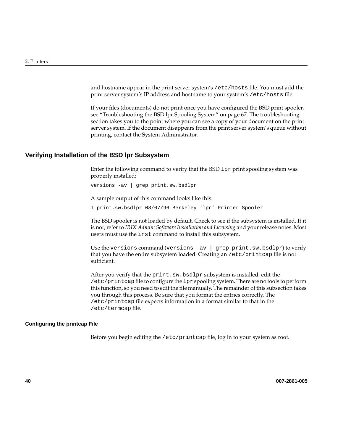and hostname appear in the print server system's /etc/hosts file. You must add the print server system's IP address and hostname to your system's /etc/hosts file.

If your files (documents) do not print once you have configured the BSD print spooler, see ["Troubleshooting the BSD lpr Spooling System" on page 67.](#page-88-0) The troubleshooting section takes you to the point where you can see a copy of your document on the print server system. If the document disappears from the print server system's queue without printing, contact the System Administrator.

## **Verifying Installation of the BSD lpr Subsystem**

Enter the following command to verify that the BSD lpr print spooling system was properly installed:

versions -av | grep print.sw.bsdlpr

A sample output of this command looks like this:

I print.sw.bsdlpr 08/07/96 Berkeley 'lpr' Printer Spooler

The BSD spooler is not loaded by default. Check to see if the subsystem is installed. If it is not, refer to *IRIX Admin: Software Installation and Licensing* and your release notes. Most users must use the inst command to install this subsystem.

Use the versions command (versions  $-av$  | grep print.sw.bsdlpr) to verify that you have the entire subsystem loaded. Creating an /etc/printcap file is not sufficient.

After you verify that the print.sw.bsdlpr subsystem is installed, edit the /etc/printcap file to configure the lpr spooling system. There are no tools to perform this function, so you need to edit the file manually. The remainder of this subsection takes you through this process. Be sure that you format the entries correctly. The /etc/printcap file expects information in a format similar to that in the /etc/termcap file.

#### **Configuring the printcap File**

Before you begin editing the /etc/printcap file, log in to your system as root.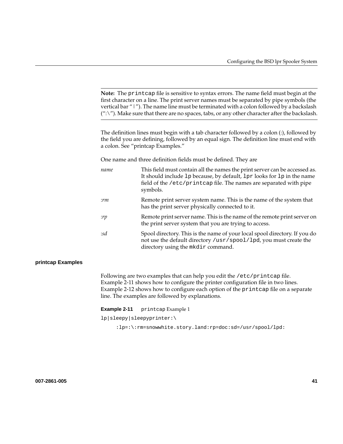<span id="page-62-0"></span>**Note:** The printcap file is sensitive to syntax errors. The name field must begin at the first character on a line. The print server names must be separated by pipe symbols (the vertical bar "|"). The name line must be terminated with a colon followed by a backslash  $'':\check{'}'.$  Make sure that there are no spaces, tabs, or any other character after the backslash.

The definition lines must begin with a tab character followed by a colon (:), followed by the field you are defining, followed by an equal sign. The definition line must end with a colon. See "printcap Examples."

One name and three definition fields must be defined. They are

| name   | This field must contain all the names the print server can be accessed as.<br>It should include 1p because, by default, 1pr looks for 1p in the name<br>field of the /etc/printcap file. The names are separated with pipe<br>symbols. |
|--------|----------------------------------------------------------------------------------------------------------------------------------------------------------------------------------------------------------------------------------------|
| :rm    | Remote print server system name. This is the name of the system that<br>has the print server physically connected to it.                                                                                                               |
| :rp    | Remote print server name. This is the name of the remote print server on<br>the print server system that you are trying to access.                                                                                                     |
| $:$ sd | Spool directory. This is the name of your local spool directory. If you do<br>not use the default directory /usr/spool/lpd, you must create the<br>directory using the mkdir command.                                                  |

#### **printcap Examples**

Following are two examples that can help you edit the /etc/printcap file. Example 2-11 shows how to configure the printer configuration file in two lines. [Example 2-12](#page-63-0) shows how to configure each option of the printcap file on a separate line. The examples are followed by explanations.

**Example 2-11** printcap Example 1

lp|sleepy|sleepyprinter:\

:lp=:\:rm=snowwhite.story.land:rp=doc:sd=/usr/spool/lpd: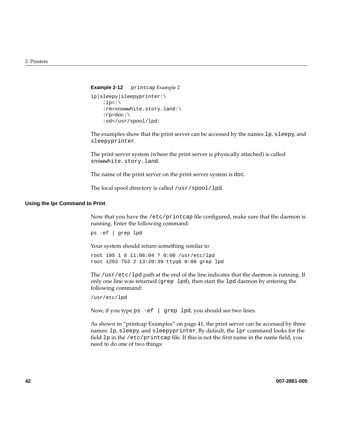#### <span id="page-63-0"></span>**Example 2-12** printcap Example 2

```
lp|sleepy|sleepyprinter:\
    : lp=:\setminus :rm=snowwhite.story.land:\
     :rp=doc:\
     :sd=/usr/spool/lpd:
```
The examples show that the print server can be accessed by the names 1p, sleepy, and sleepyprinter.

The print server system (where the print server is physically attached) is called snowwhite.story.land.

The name of the print server on the print server system is doc.

The local spool directory is called /usr/spool/lpd.

#### **Using the lpr Command to Print**

Now that you have the /etc/printcap file configured, make sure that the daemon is running. Enter the following command:

ps -ef | grep lpd

Your system should return something similar to

root 195 1 0 11:06:04 ? 0:00 /usr/etc/lpd root 1293 753 2 13:20:39 ttyq6 0:00 grep lpd

The /usr/etc/lpd path at the end of the line indicates that the daemon is running. If only one line was returned (grep lpd), then start the lpd daemon by entering the following command:

```
/usr/etc/lpd
```
Now, if you type ps -ef | grep lpd, you should see two lines.

As shown in ["printcap Examples" on page 41](#page-62-0), the print server can be accessed by three names: lp, sleepy, and sleepyprinter. By default, the lpr command looks for the field lp in the /etc/printcap file. If this is not the first name in the name field, you need to do one of two things: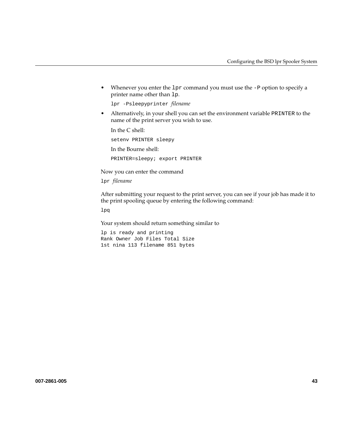• Whenever you enter the 1<sub>pr</sub> command you must use the  $-P$  option to specify a printer name other than lp.

```
lpr -Psleepyprinter filename
```
• Alternatively, in your shell you can set the environment variable PRINTER to the name of the print server you wish to use.

In the C shell:

setenv PRINTER sleepy In the Bourne shell: PRINTER=sleepy; export PRINTER

Now you can enter the command

lpr *filename*

After submitting your request to the print server, you can see if your job has made it to the print spooling queue by entering the following command:

lpq

Your system should return something similar to

lp is ready and printing Rank Owner Job Files Total Size 1st nina 113 filename 851 bytes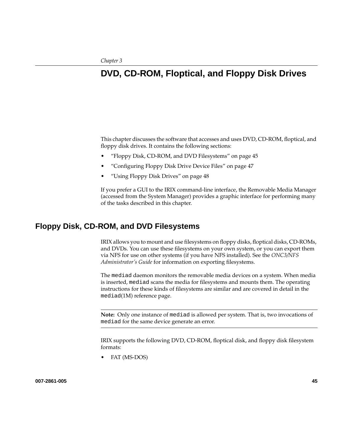# **3. DVD, CD-ROM, Floptical, and Floppy Disk Drives**

This chapter discusses the software that accesses and uses DVD, CD-ROM, floptical, and floppy disk drives. It contains the following sections:

- "Floppy Disk, CD-ROM, and DVD Filesystems" on page 45
- • ["Configuring Floppy Disk Drive Device Files" on page 47](#page-68-0)
- • ["Using Floppy Disk Drives" on page 48](#page-69-0)

If you prefer a GUI to the IRIX command-line interface, the Removable Media Manager (accessed from the System Manager) provides a graphic interface for performing many of the tasks described in this chapter.

## **Floppy Disk, CD-ROM, and DVD Filesystems**

IRIX allows you to mount and use filesystems on floppy disks, floptical disks, CD-ROMs, and DVDs. You can use these filesystems on your own system, or you can export them via NFS for use on other systems (if you have NFS installed). See the *ONC3/NFS Administrator's Guide* for information on exporting filesystems.

The mediad daemon monitors the removable media devices on a system. When media is inserted, mediad scans the media for filesystems and mounts them. The operating instructions for these kinds of filesystems are similar and are covered in detail in the mediad(1M) reference page.

**Note:** Only one instance of mediad is allowed per system. That is, two invocations of mediad for the same device generate an error.

IRIX supports the following DVD, CD-ROM, floptical disk, and floppy disk filesystem formats:

FAT (MS-DOS)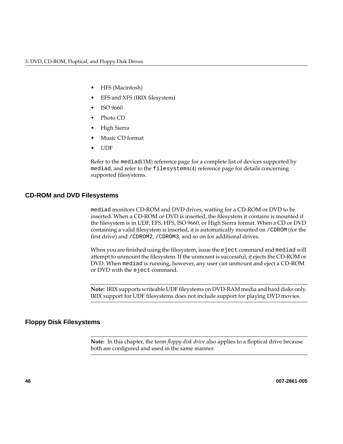- HFS (Macintosh)
- EFS and XFS (IRIX filesystem)
- ISO 9660
- Photo CD
- High Sierra
- Music CD format
- UDF

Refer to the mediad(1M) reference page for a complete list of devices supported by mediad, and refer to the filesystems(4) reference page for details concerning supported filesystems.

## **CD-ROM and DVD Filesystems**

mediad monitors CD-ROM and DVD drives, waiting for a CD-ROM or DVD to be inserted. When a CD-ROM or DVD is inserted, the filesystem it contains is mounted if the filesystem is in UDF, EFS, HFS, ISO 9660, or High Sierra format. When a CD or DVD containing a valid filesystem is inserted, it is automatically mounted on /CDROM (for the first drive) and /CDROM2, /CDROM3, and so on for additional drives.

When you are finished using the filesystem, issue the eject command and mediad will attempt to unmount the filesystem. If the unmount is successful, it ejects the CD-ROM or DVD. When mediad is running, however, any user can unmount and eject a CD-ROM or DVD with the eject command.

**Note:** IRIX supports writeable UDF fileystems on DVD-RAM media and hard disks only. IRIX support for UDF filesystems does not include support for playing DVD movies.

## **Floppy Disk Filesystems**

**Note:** In this chapter, the term *floppy disk drive* also applies to a floptical drive because both are configured and used in the same manner.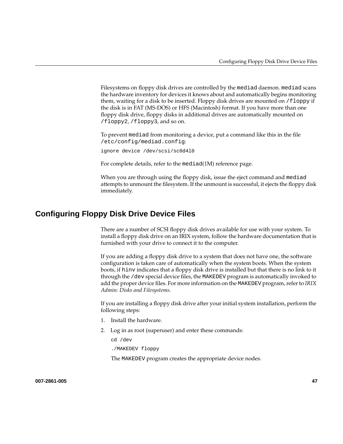<span id="page-68-0"></span>Filesystems on floppy disk drives are controlled by the mediad daemon. mediad scans the hardware inventory for devices it knows about and automatically begins monitoring them, waiting for a disk to be inserted. Floppy disk drives are mounted on  $/10$ oppy if the disk is in FAT (MS-DOS) or HFS (Macintosh) format. If you have more than one floppy disk drive, floppy disks in additional drives are automatically mounted on /floppy2, /floppy3, and so on.

To prevent mediad from monitoring a device, put a command like this in the file /etc/config/mediad.config:

ignore device /dev/scsi/sc0d4l0

For complete details, refer to the mediad(1M) reference page.

When you are through using the floppy disk, issue the eject command and mediad attempts to unmount the filesystem. If the unmount is successful, it ejects the floppy disk immediately.

## **Configuring Floppy Disk Drive Device Files**

There are a number of SCSI floppy disk drives available for use with your system. To install a floppy disk drive on an IRIX system, follow the hardware documentation that is furnished with your drive to connect it to the computer.

If you are adding a floppy disk drive to a system that does not have one, the software configuration is taken care of automatically when the system boots. When the system boots, if hinv indicates that a floppy disk drive is installed but that there is no link to it through the /dev special device files, the MAKEDEV program is automatically invoked to add the proper device files. For more information on the MAKEDEV program, refer to *IRIX Admin: Disks and Filesystems*.

If you are installing a floppy disk drive after your initial system installation, perform the following steps:

- 1. Install the hardware.
- 2. Log in as root (superuser) and enter these commands:

cd /dev

./MAKEDEV floppy

The MAKEDEV program creates the appropriate device nodes.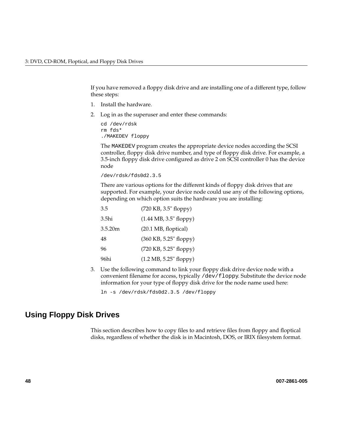<span id="page-69-0"></span>If you have removed a floppy disk drive and are installing one of a different type, follow these steps:

- 1. Install the hardware.
- 2. Log in as the superuser and enter these commands:

```
cd /dev/rdsk
rm fds*
./MAKEDEV floppy
```
The MAKEDEV program creates the appropriate device nodes according the SCSI controller, floppy disk drive number, and type of floppy disk drive. For example, a 3.5-inch floppy disk drive configured as drive 2 on SCSI controller 0 has the device node

```
/dev/rdsk/fds0d2.3.5
```
There are various options for the different kinds of floppy disk drives that are supported. For example, your device node could use any of the following options, depending on which option suits the hardware you are installing:

| 3.5     | (720 KB, 3.5" floppy)                    |
|---------|------------------------------------------|
| 3.5hi   | $(1.44 \text{ MB}, 3.5" \text{ floppy})$ |
| 3.5.20m | (20.1 MB, floptical)                     |
| 48      | (360 KB, 5.25" floppy)                   |
| 96      | (720 KB, 5.25" floppy)                   |
| 96hi    | (1.2 MB, 5.25" floppy)                   |

3. Use the following command to link your floppy disk drive device node with a convenient filename for access, typically /dev/floppy. Substitute the device node information for your type of floppy disk drive for the node name used here:

ln -s /dev/rdsk/fds0d2.3.5 /dev/floppy

## **Using Floppy Disk Drives**

This section describes how to copy files to and retrieve files from floppy and floptical disks, regardless of whether the disk is in Macintosh, DOS, or IRIX filesystem format.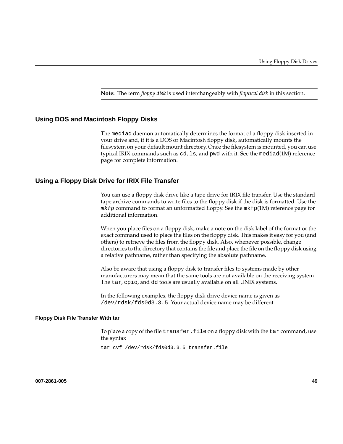**Note:** The term *floppy disk* is used interchangeably with *floptical disk* in this section.

## **Using DOS and Macintosh Floppy Disks**

The mediad daemon automatically determines the format of a floppy disk inserted in your drive and, if it is a DOS or Macintosh floppy disk, automatically mounts the filesystem on your default mount directory. Once the filesystem is mounted, you can use typical IRIX commands such as cd, ls, and pwd with it. See the mediad(1M) reference page for complete information.

### **Using a Floppy Disk Drive for IRIX File Transfer**

You can use a floppy disk drive like a tape drive for IRIX file transfer. Use the standard tape archive commands to write files to the floppy disk if the disk is formatted. Use the  $mkfp$  command to format an unformatted floppy. See the  $mkfp(1M)$  reference page for additional information.

When you place files on a floppy disk, make a note on the disk label of the format or the exact command used to place the files on the floppy disk. This makes it easy for you (and others) to retrieve the files from the floppy disk. Also, whenever possible, change directories to the directory that contains the file and place the file on the floppy disk using a relative pathname, rather than specifying the absolute pathname.

Also be aware that using a floppy disk to transfer files to systems made by other manufacturers may mean that the same tools are not available on the receiving system. The tar, cpio, and dd tools are usually available on all UNIX systems.

In the following examples, the floppy disk drive device name is given as /dev/rdsk/fds0d3.3.5. Your actual device name may be different.

#### **Floppy Disk File Transfer With tar**

To place a copy of the file transfer.file on a floppy disk with the tar command, use the syntax

tar cvf /dev/rdsk/fds0d3.3.5 transfer.file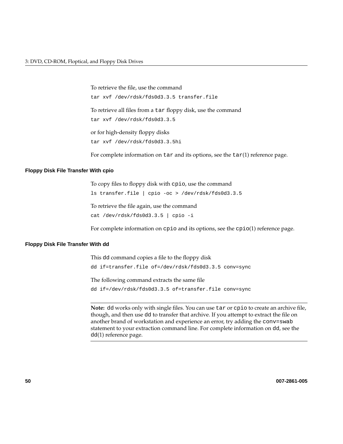To retrieve the file, use the command tar xvf /dev/rdsk/fds0d3.3.5 transfer.file To retrieve all files from a tar floppy disk, use the command tar xvf /dev/rdsk/fds0d3.3.5 or for high-density floppy disks tar xvf /dev/rdsk/fds0d3.3.5hi

For complete information on  $\tanctan$  its options, see the  $\tanctan(1)$  reference page.

### **Floppy Disk File Transfer With cpio**

To copy files to floppy disk with cpio, use the command

ls transfer.file | cpio -oc > /dev/rdsk/fds0d3.3.5

To retrieve the file again, use the command cat /dev/rdsk/fds0d3.3.5 | cpio -i

For complete information on cpio and its options, see the cpio(1) reference page.

### **Floppy Disk File Transfer With dd**

This dd command copies a file to the floppy disk dd if=transfer.file of=/dev/rdsk/fds0d3.3.5 conv=sync The following command extracts the same file

dd if=/dev/rdsk/fds0d3.3.5 of=transfer.file conv=sync

**Note:** dd works only with single files. You can use tar or cpio to create an archive file, though, and then use dd to transfer that archive. If you attempt to extract the file on another brand of workstation and experience an error, try adding the conv=swab statement to your extraction command line. For complete information on dd, see the dd(1) reference page.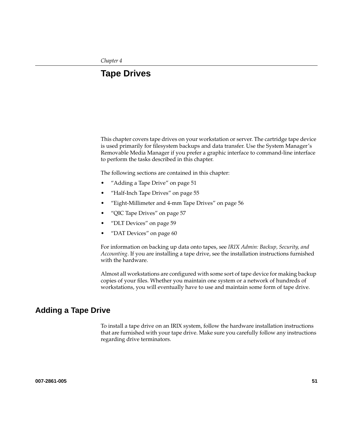# **4. Tape Drives**

This chapter covers tape drives on your workstation or server. The cartridge tape device is used primarily for filesystem backups and data transfer. Use the System Manager's Removable Media Manager if you prefer a graphic interface to command-line interface to perform the tasks described in this chapter.

The following sections are contained in this chapter:

- "Adding a Tape Drive" on page 51
- • ["Half-Inch Tape Drives" on page 55](#page-76-0)
- • ["Eight-Millimeter and 4-mm Tape Drives" on page 56](#page-77-0)
- • ["QIC Tape Drives" on page 57](#page-78-0)
- • ["DLT Devices" on page 59](#page-80-0)
- • ["DAT Devices" on page 60](#page-81-0)

For information on backing up data onto tapes, see *IRIX Admin: Backup, Security, and Accounting*. If you are installing a tape drive, see the installation instructions furnished with the hardware.

Almost all workstations are configured with some sort of tape device for making backup copies of your files. Whether you maintain one system or a network of hundreds of workstations, you will eventually have to use and maintain some form of tape drive.

# **Adding a Tape Drive**

To install a tape drive on an IRIX system, follow the hardware installation instructions that are furnished with your tape drive. Make sure you carefully follow any instructions regarding drive terminators.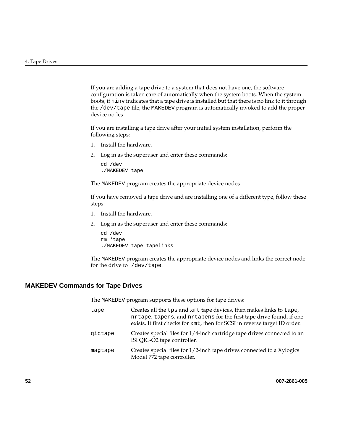If you are adding a tape drive to a system that does not have one, the software configuration is taken care of automatically when the system boots. When the system boots, if hinv indicates that a tape drive is installed but that there is no link to it through the /dev/tape file, the MAKEDEV program is automatically invoked to add the proper device nodes.

If you are installing a tape drive after your initial system installation, perform the following steps:

- 1. Install the hardware.
- 2. Log in as the superuser and enter these commands:

cd /dev ./MAKEDEV tape

The MAKEDEV program creates the appropriate device nodes.

If you have removed a tape drive and are installing one of a different type, follow these steps:

- 1. Install the hardware.
- 2. Log in as the superuser and enter these commands:

```
cd /dev
rm *tape
./MAKEDEV tape tapelinks
```
The MAKEDEV program creates the appropriate device nodes and links the correct node for the drive to /dev/tape.

#### **MAKEDEV Commands for Tape Drives**

The MAKEDEV program supports these options for tape drives:

| tape    | Creates all the tps and xmt tape devices, then makes links to tape,<br>nrtape, tapens, and nrtapens for the first tape drive found, if one<br>exists. It first checks for xmt, then for SCSI in reverse target ID order. |
|---------|--------------------------------------------------------------------------------------------------------------------------------------------------------------------------------------------------------------------------|
| qictape | Creates special files for 1/4-inch cartridge tape drives connected to an<br>ISI QIC-O2 tape controller.                                                                                                                  |
| magtape | Creates special files for 1/2-inch tape drives connected to a Xylogics<br>Model 772 tape controller.                                                                                                                     |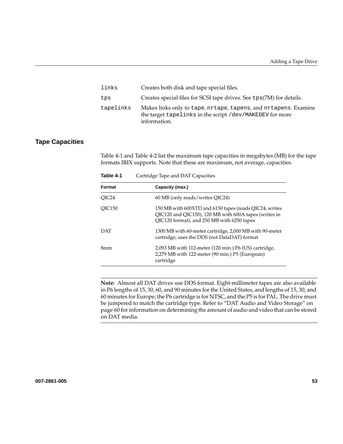| links     | Creates both disk and tape special files.                                                                                                   |
|-----------|---------------------------------------------------------------------------------------------------------------------------------------------|
| tps       | Creates special files for SCSI tape drives. See tps(7M) for details.                                                                        |
| tapelinks | Makes links only to tape, nrtape, tapens, and nrtapens. Examine<br>the target tapelinks in the script /dev/MAKEDEV for more<br>information. |

#### **Tape Capacities**

Table 4-1 and [Table 4-2](#page-75-0) list the maximum tape capacities in megabytes (MB) for the tape formats IRIX supports. Note that these are maximum, not average, capacities.

**Format Capacity (max.)** QIC24 60 MB (only reads/writes QIC24) QIC150 150 MB with 600XTD and 6150 tapes (reads QIC24, writes QIC120 and QIC150), 120 MB with 600A tapes (writes in QIC120 format), and 250 MB with 6250 tapes DAT 1300 MB with 60-meter cartridge, 2,000 MB with 90-meter cartridge; uses the DDS (not DataDAT) format 8mm 2,093 MB with 112-meter (120 min.) P6 (US) cartridge, 2,279 MB with 122-meter (90 min.) P5 (European) cartridge

**Table 4-1** Cartridge Tape and DAT Capacities

**Note:** Almost all DAT drives use DDS format. Eight-millimeter tapes are also available in P6 lengths of 15, 30, 60, and 90 minutes for the United States, and lengths of 15, 30, and 60 minutes for Europe; the P6 cartridge is for NTSC, and the P5 is for PAL. The drive must be jumpered to match the cartridge type. Refer to ["DAT Audio and Video Storage" on](#page-81-0) [page 60](#page-81-0) for information on determining the amount of audio and video that can be stored on DAT media.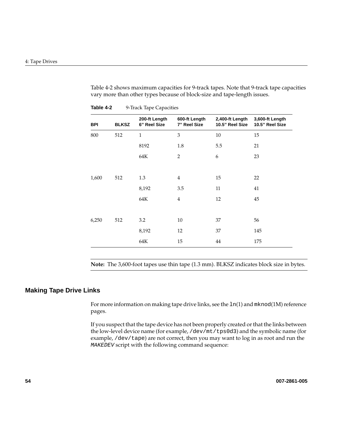<span id="page-75-0"></span>Table 4-2 shows maximum capacities for 9-track tapes. Note that 9-track tape capacities vary more than other types because of block-size and tape-length issues.

| <b>BPI</b> | <b>BLKSZ</b> | 200-ft Length<br>6" Reel Size | 600-ft Length<br>7" Reel Size | 2,400-ft Length<br>10.5" Reel Size | 3,600-ft Length<br>10.5" Reel Size |
|------------|--------------|-------------------------------|-------------------------------|------------------------------------|------------------------------------|
| 800        | 512          | $\mathbf{1}$                  | 3                             | 10                                 | 15                                 |
|            |              | 8192                          | 1.8                           | 5.5                                | 21                                 |
|            |              | 64K                           | $\overline{2}$                | 6                                  | 23                                 |
|            |              |                               |                               |                                    |                                    |
| 1,600      | 512          | 1.3                           | $\overline{4}$                | 15                                 | 22                                 |
|            |              | 8,192                         | 3.5                           | 11                                 | 41                                 |
|            |              | 64K                           | $\overline{4}$                | 12                                 | 45                                 |
|            |              |                               |                               |                                    |                                    |
| 6,250      | 512          | 3.2                           | 10                            | 37                                 | 56                                 |
|            |              | 8,192                         | 12                            | 37                                 | 145                                |
|            |              | 64K                           | 15                            | 44                                 | 175                                |
|            |              |                               |                               |                                    |                                    |

Table 4-2 9-Track Tape Capacities

**Note:** The 3,600-foot tapes use thin tape (1.3 mm). BLKSZ indicates block size in bytes.

#### **Making Tape Drive Links**

For more information on making tape drive links, see the  $ln(1)$  and  $mknod(1M)$  reference pages.

If you suspect that the tape device has not been properly created or that the links between the low-level device name (for example, /dev/mt/tps0d3) and the symbolic name (for example, /dev/tape) are not correct, then you may want to log in as root and run the MAKEDEV script with the following command sequence: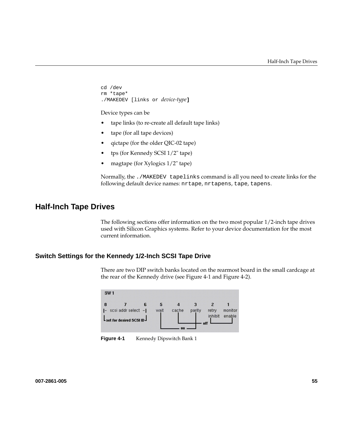```
cd /dev
rm *tape*
./MAKEDEV [links or device-type]
```
#### Device types can be

- tape links (to re-create all default tape links)
- tape (for all tape devices)
- qictape (for the older QIC-02 tape)
- tps (for Kennedy SCSI 1/2" tape)
- magtape (for Xylogics 1/2" tape)

Normally, the ./MAKEDEV tapelinks command is all you need to create links for the following default device names: nrtape, nrtapens, tape, tapens.

## **Half-Inch Tape Drives**

The following sections offer information on the two most popular 1/2-inch tape drives used with Silicon Graphics systems. Refer to your device documentation for the most current information.

### **Switch Settings for the Kennedy 1/2-Inch SCSI Tape Drive**

There are two DIP switch banks located on the rearmost board in the small cardcage at the rear of the Kennedy drive (see Figure 4-1 and [Figure 4-2\).](#page-77-0)



**Figure 4-1** Kennedy Dipswitch Bank 1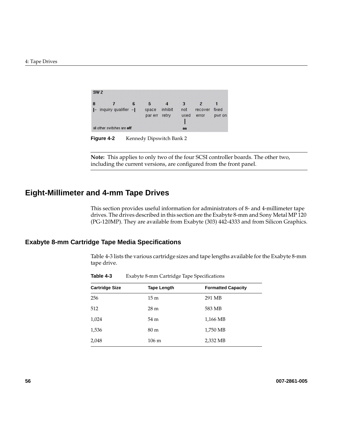<span id="page-77-0"></span>

| 8 |                     | 6 | 5       |         | я    | 2       |        |
|---|---------------------|---|---------|---------|------|---------|--------|
|   | inquiry qualifier - |   | space   | inhibit | not  | recover | fixed  |
|   |                     |   | par err | retry   | used | error   | pwr on |
|   |                     |   |         |         |      |         |        |

**Figure 4-2** Kennedy Dipswitch Bank 2

**Note:** This applies to only two of the four SCSI controller boards. The other two, including the current versions, are configured from the front panel.

# **Eight-Millimeter and 4-mm Tape Drives**

This section provides useful information for administrators of 8- and 4-millimeter tape drives. The drives described in this section are the Exabyte 8-mm and Sony Metal MP 120 (PG-120MP). They are available from Exabyte (303) 442-4333 and from Silicon Graphics.

## **Exabyte 8-mm Cartridge Tape Media Specifications**

Table 4-3 lists the various cartridge sizes and tape lengths available for the Exabyte 8-mm tape drive.

|                       | $\cdot$            | .                         |
|-----------------------|--------------------|---------------------------|
| <b>Cartridge Size</b> | <b>Tape Length</b> | <b>Formatted Capacity</b> |
| 256                   | 15 <sub>m</sub>    | 291 MB                    |
| 512                   | 28 <sub>m</sub>    | 583 MB                    |
| 1,024                 | 54 m               | 1,166 MB                  |
| 1,536                 | 80 <sub>m</sub>    | 1,750 MB                  |
| 2,048                 | 106 m              | 2,332 MB                  |

**Table 4-3** Exabyte 8-mm Cartridge Tape Specifications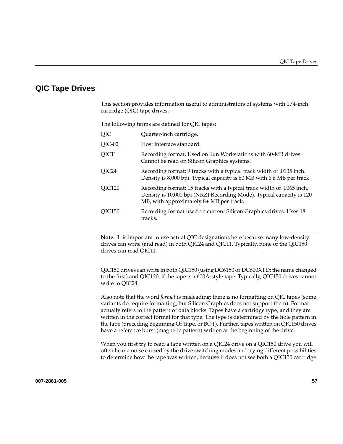## <span id="page-78-0"></span>**QIC Tape Drives**

This section provides information useful to administrators of systems with 1/4-inch cartridge (QIC) tape drives.

The following terms are defined for QIC tapes:

| QIC      | Quarter-inch cartridge.                                                                                                                                                                  |
|----------|------------------------------------------------------------------------------------------------------------------------------------------------------------------------------------------|
| $QIC-02$ | Host interface standard.                                                                                                                                                                 |
| QIC11    | Recording format. Used on Sun Workstations with 60-MB drives.<br>Cannot be read on Silicon Graphics systems.                                                                             |
| QIC24    | Recording format: 9 tracks with a typical track width of .0135 inch.<br>Density is 8,000 bpi. Typical capacity is 60 MB with 6.6 MB per track.                                           |
| QIC120   | Recording format: 15 tracks with a typical track width of .0065 inch.<br>Density is 10,000 bpi (NRZI Recording Mode). Typical capacity is 120<br>MB, with approximately 8+ MB per track. |
| OIC150   | Recording format used on current Silicon Graphics drives. Uses 18<br>tracks.                                                                                                             |
|          |                                                                                                                                                                                          |

**Note:** It is important to use actual QIC designations here because many low-density drives can write (and read) in both QIC24 and QIC11. Typically, none of the QIC150 drives can read QIC11.

QIC150 drives can write in both QIC150 (using DC6150 or DC600XTD; the name changed to the first) and QIC120, if the tape is a 600A-style tape. Typically, QIC150 drives cannot write to QIC24.

Also note that the word *format* is misleading; there is no formatting on QIC tapes (some variants do require formatting, but Silicon Graphics does not support them). Format actually refers to the pattern of data blocks. Tapes have a cartridge type, and they are written in the correct format for that type. The type is determined by the hole pattern in the tape (preceding Beginning Of Tape, or BOT). Further, tapes written on QIC150 drives have a reference burst (magnetic pattern) written at the beginning of the drive.

When you first try to read a tape written on a QIC24 drive on a QIC150 drive you will often hear a noise caused by the drive switching modes and trying different possibilities to determine how the tape was written, because it does not see both a QIC150 cartridge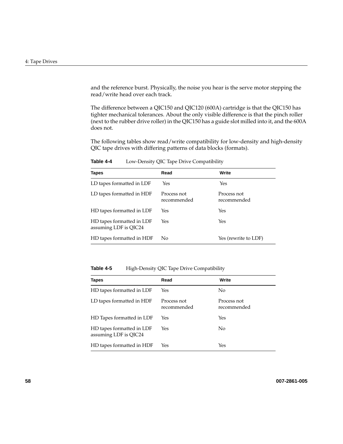and the reference burst. Physically, the noise you hear is the serve motor stepping the read/write head over each track.

The difference between a QIC150 and QIC120 (600A) cartridge is that the QIC150 has tighter mechanical tolerances. About the only visible difference is that the pinch roller (next to the rubber drive roller) in the QIC150 has a guide slot milled into it, and the 600A does not.

The following tables show read/write compatibility for low-density and high-density QIC tape drives with differing patterns of data blocks (formats).

| <b>Tapes</b>                                       | Read                       | Write                      |
|----------------------------------------------------|----------------------------|----------------------------|
| LD tapes formatted in LDF                          | Yes                        | Yes                        |
| LD tapes formatted in HDF                          | Process not<br>recommended | Process not<br>recommended |
| HD tapes formatted in LDF                          | Yes                        | Yes                        |
| HD tapes formatted in LDF<br>assuming LDF is QIC24 | Yes                        | Yes                        |
| HD tapes formatted in HDF                          | No                         | Yes (rewrite to LDF)       |

**Table 4-4** Low-Density QIC Tape Drive Compatibility

Table 4-5 **High-Density QIC Tape Drive Compatibility** 

| <b>Tapes</b>                                       | Read                       | Write                      |
|----------------------------------------------------|----------------------------|----------------------------|
| HD tapes formatted in LDF                          | Yes                        | No.                        |
| LD tapes formatted in HDF                          | Process not<br>recommended | Process not<br>recommended |
| HD Tapes formatted in LDF                          | Yes                        | Yes                        |
| HD tapes formatted in LDF<br>assuming LDF is QIC24 | Yes                        | No                         |
| HD tapes formatted in HDF                          | Yes                        | Yes                        |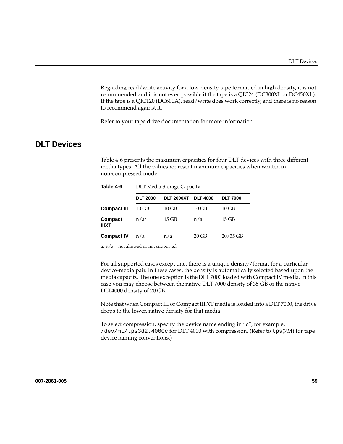Regarding read/write activity for a low-density tape formatted in high density, it is not recommended and it is not even possible if the tape is a QIC24 (DC300XL or DC450XL). If the tape is a QIC120 (DC600A), read/write does work correctly, and there is no reason to recommend against it.

Refer to your tape drive documentation for more information.

# <span id="page-80-0"></span>**DLT Devices**

Table 4-6 presents the maximum capacities for four DLT devices with three different media types. All the values represent maximum capacities when written in non-compressed mode.

| Table 4-6               | <b>DLT Media Storage Capacity</b> |                   |                 |                 |  |
|-------------------------|-----------------------------------|-------------------|-----------------|-----------------|--|
|                         | <b>DLT 2000</b>                   | <b>DLT 2000XT</b> | <b>DLT 4000</b> | <b>DLT 7000</b> |  |
| <b>Compact III</b>      | 10 GB                             | $10$ GB           | $10$ GB         | $10$ GB         |  |
| Compact<br><b>IIIXT</b> | n/a <sup>a</sup>                  | $15$ GB           | n/a             | $15$ GB         |  |
| <b>Compact IV</b>       | n/a                               | n/a               | $20$ GB         | $20/35$ GB      |  |

a.  $n/a$  = not allowed or not supported

For all supported cases except one, there is a unique density/format for a particular device-media pair. In these cases, the density is automatically selected based upon the media capacity. The one exception is the DLT 7000 loaded with Compact IV media. In this case you may choose between the native DLT 7000 density of 35 GB or the native DLT4000 density of 20 GB.

Note that when Compact III or Compact III XT media is loaded into a DLT 7000, the drive drops to the lower, native density for that media.

To select compression, specify the device name ending in "c", for example, /dev/mt/tps3d2.4000c for DLT 4000 with compression. (Refer to tps(7M) for tape device naming conventions.)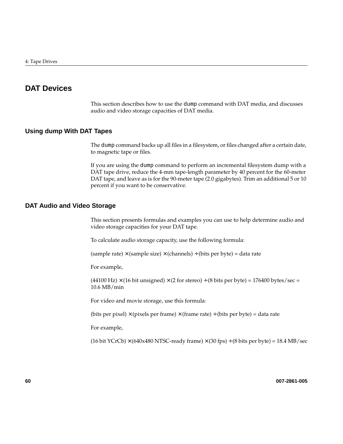# <span id="page-81-0"></span>**DAT Devices**

This section describes how to use the dump command with DAT media, and discusses audio and video storage capacities of DAT media.

### **Using dump With DAT Tapes**

The dump command backs up all files in a filesystem, or files changed after a certain date, to magnetic tape or files.

If you are using the dump command to perform an incremental filesystem dump with a DAT tape drive, reduce the 4-mm tape-length parameter by 40 percent for the 60-meter DAT tape, and leave as is for the 90-meter tape (2.0 gigabytes). Trim an additional 5 or 10 percent if you want to be conservative.

### **DAT Audio and Video Storage**

This section presents formulas and examples you can use to help determine audio and video storage capacities for your DAT tape.

To calculate audio storage capacity, use the following formula:

 $(sample\ rate) \times (samples\ size) \times (channels) \div (bits\ per\ byte) = data\ rate$ 

For example,

 $(44100 \text{ Hz}) \times (16 \text{ bit unsigned}) \times (2 \text{ for stereo}) \div (8 \text{ bits per byte}) = 176400 \text{ bytes/sec} =$ 10.6 MB/min

For video and movie storage, use this formula:

(bits per pixel)  $\times$  (pixels per frame)  $\times$  (frame rate) ÷ (bits per byte) = data rate

For example,

(16 bit YCrCb)  $\times$  (640x480 NTSC-ready frame)  $\times$  (30 fps)  $\div$  (8 bits per byte) = 18.4 MB/sec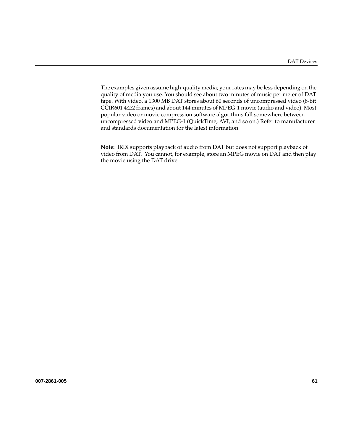The examples given assume high-quality media; your rates may be less depending on the quality of media you use. You should see about two minutes of music per meter of DAT tape. With video, a 1300 MB DAT stores about 60 seconds of uncompressed video (8-bit CCIR601 4:2:2 frames) and about 144 minutes of MPEG-1 movie (audio and video). Most popular video or movie compression software algorithms fall somewhere between uncompressed video and MPEG-1 (QuickTime, AVI, and so on.) Refer to manufacturer and standards documentation for the latest information.

**Note:** IRIX supports playback of audio from DAT but does not support playback of video from DAT. You cannot, for example, store an MPEG movie on DAT and then play the movie using the DAT drive.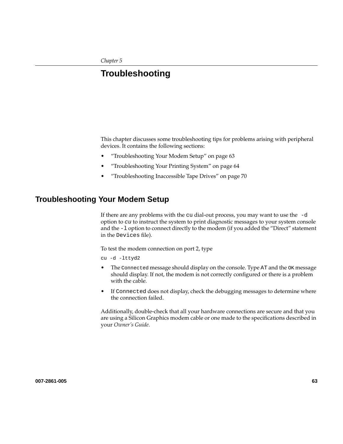# **5. Troubleshooting**

This chapter discusses some troubleshooting tips for problems arising with peripheral devices. It contains the following sections:

- "Troubleshooting Your Modem Setup" on page 63
- • ["Troubleshooting Your Printing System" on page 64](#page-85-0)
- • ["Troubleshooting Inaccessible Tape Drives" on page 70](#page-91-0)

# **Troubleshooting Your Modem Setup**

If there are any problems with the cu dial-out process, you may want to use the -d option to cu to instruct the system to print diagnostic messages to your system console and the -l option to connect directly to the modem (if you added the "Direct" statement in the Devices file).

To test the modem connection on port 2, type

cu -d -lttyd2

- The Connected message should display on the console. Type AT and the OK message should display. If not, the modem is not correctly configured or there is a problem with the cable.
- If Connected does not display, check the debugging messages to determine where the connection failed.

Additionally, double-check that all your hardware connections are secure and that you are using a Silicon Graphics modem cable or one made to the specifications described in your *Owner's Guide*.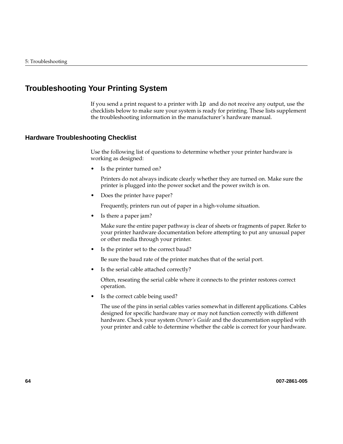# <span id="page-85-0"></span>**Troubleshooting Your Printing System**

If you send a print request to a printer with lp and do not receive any output, use the checklists below to make sure your system is ready for printing. These lists supplement the troubleshooting information in the manufacturer's hardware manual.

### **Hardware Troubleshooting Checklist**

Use the following list of questions to determine whether your printer hardware is working as designed:

• Is the printer turned on?

Printers do not always indicate clearly whether they are turned on. Make sure the printer is plugged into the power socket and the power switch is on.

• Does the printer have paper?

Frequently, printers run out of paper in a high-volume situation.

• Is there a paper jam?

Make sure the entire paper pathway is clear of sheets or fragments of paper. Refer to your printer hardware documentation before attempting to put any unusual paper or other media through your printer.

• Is the printer set to the correct baud?

Be sure the baud rate of the printer matches that of the serial port.

• Is the serial cable attached correctly?

Often, reseating the serial cable where it connects to the printer restores correct operation.

• Is the correct cable being used?

The use of the pins in serial cables varies somewhat in different applications. Cables designed for specific hardware may or may not function correctly with different hardware. Check your system *Owner's Guide* and the documentation supplied with your printer and cable to determine whether the cable is correct for your hardware.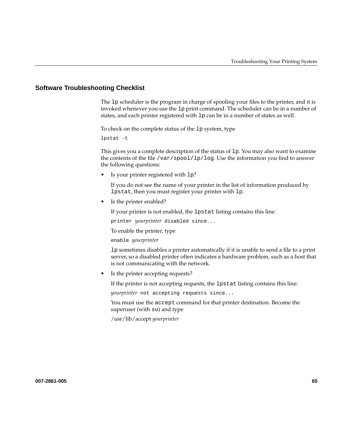### **Software Troubleshooting Checklist**

The lp scheduler is the program in charge of spooling your files to the printer, and it is invoked whenever you use the lp print command. The scheduler can be in a number of states, and each printer registered with lp can be in a number of states as well.

To check on the complete status of the lp system, type

lpstat -t

This gives you a complete description of the status of 1p. You may also want to examine the contents of the file  $/\varphi$  spool  $/\varphi$  log. Use the information you find to answer the following questions:

• Is your printer registered with lp?

If you do not see the name of your printer in the list of information produced by lpstat, then you must register your printer with lp.

• Is the printer enabled?

If your printer is not enabled, the lpstat listing contains this line:

printer *yourprinter* disabled since...

To enable the printer, type

enable *yourprinter*

lp sometimes disables a printer automatically if it is unable to send a file to a print server, so a disabled printer often indicates a hardware problem, such as a host that is not communicating with the network.

• Is the printer accepting requests?

If the printer is not accepting requests, the lpstat listing contains this line:

*yourprinter* not accepting requests since...

You must use the accept command for that printer destination. Become the superuser (with su) and type

/usr/lib/accept *yourprinter*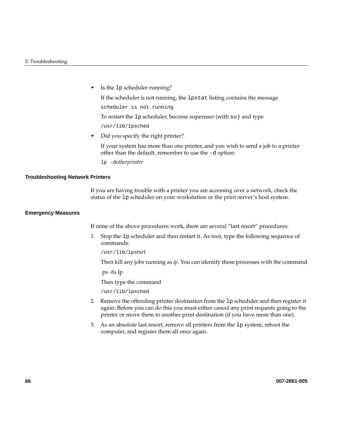• Is the 1p scheduler running?

If the scheduler is not running, the lpstat listing contains the message

scheduler is not running

To restart the lp scheduler, become superuser (with su) and type

/usr/lib/lpsched

Did you specify the right printer?

If your system has more than one printer, and you wish to send a job to a printer other than the default, remember to use the -d option:

lp -d*otherprinter*

#### **Troubleshooting Network Printers**

If you are having trouble with a printer you are accessing over a network, check the status of the lp scheduler on your workstation or the print server's host system.

#### **Emergency Measures**

If none of the above procedures work, there are several "last resort" procedures:

1. Stop the lp scheduler and then restart it. As root, type the following sequence of commands:

/usr/lib/lpshut

Then kill any jobs running as *lp.* You can identify these processes with the command

ps -fu lp

Then type the command

/usr/lib/lpsched

- 2. Remove the offending printer destination from the lp scheduler and then register it again. Before you can do this you must either cancel any print requests going to the printer or move them to another print destination (if you have more than one).
- 3. As an absolute last resort, remove all printers from the lp system, reboot the computer, and register them all once again.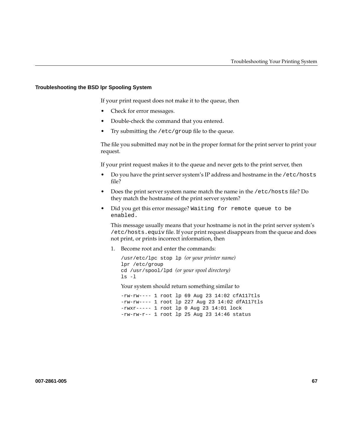#### **Troubleshooting the BSD lpr Spooling System**

If your print request does not make it to the queue, then

- Check for error messages.
- Double-check the command that you entered.
- Try submitting the /etc/group file to the queue.

The file you submitted may not be in the proper format for the print server to print your request.

If your print request makes it to the queue and never gets to the print server, then

- Do you have the print server system's IP address and hostname in the /etc/hosts file?
- Does the print server system name match the name in the /etc/hosts file? Do they match the hostname of the print server system?
- Did you get this error message? Waiting for remote queue to be enabled.

This message usually means that your hostname is not in the print server system's /etc/hosts.equiv file. If your print request disappears from the queue and does not print, or prints incorrect information, then

1. Become root and enter the commands:

```
/usr/etc/lpc stop lp (or your printer name)
lpr /etc/group
cd /usr/spool/lpd (or your spool directory)
ls -l
```
Your system should return something similar to

-rw-rw---- 1 root lp 69 Aug 23 14:02 cfA117tls -rw-rw---- 1 root lp 227 Aug 23 14:02 dfA117tls -rwxr----- 1 root lp 0 Aug 23 14:01 lock -rw-rw-r-- 1 root lp 25 Aug 23 14:46 status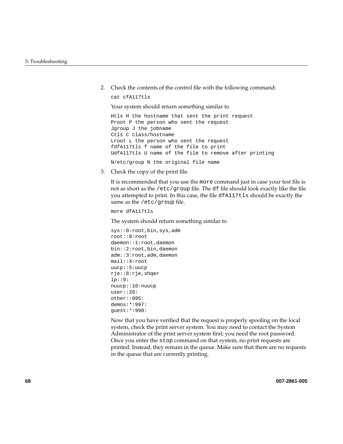2. Check the contents of the control file with the following command:

cat cfA117tls

Your system should return something similar to

Htls H the hostname that sent the print request Proot P the person who sent the request Jgroup J the jobname Ctls C class/hostname Lroot L the person who sent the request fdfA117tls f name of the file to print UdfA117tls U name of the file to remove after printing N/etc/group N the original file name

3. Check the copy of the print file.

It is recommended that you use the more command just in case your test file is not as short as the /etc/group file. The df file should look exactly like the file you attempted to print. In this case, the file dfA117tls should be exactly the same as the /etc/group file.

```
more dfA117tls
```
The system should return something similar to

```
sys::0:root,bin,sys,adm
root::0:root
daemon::1:root,daemon
bin::2:root,bin,daemon
adm::3:root,adm,daemon
mail::4:root
uucp::5:uucp
rje::8:rje,shqer
lp::9:
nuucp::10:nuucp
user::20:
other::995:
demos:*:997:
guest:*:998:
```
Now that you have verified that the request is properly spooling on the local system, check the print server system. You may need to contact the System Administrator of the print server system first; you need the root password. Once you enter the stop command on that system, no print requests are printed. Instead, they remain in the queue. Make sure that there are no requests in the queue that are currently printing.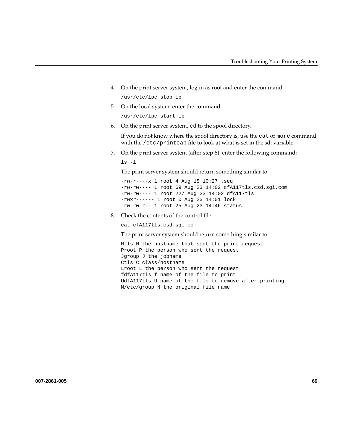- 4. On the print server system, log in as root and enter the command /usr/etc/lpc stop lp
- 5. On the local system, enter the command

/usr/etc/lpc start lp

6. On the print server system, cd to the spool directory.

If you do not know where the spool directory is, use the cat or more command with the /etc/printcap file to look at what is set in the sd: variable.

7. On the print server system (after step 6), enter the following command:

ls -l

The print server system should return something similar to

-rw-r----x 1 root 4 Aug 15 10:27 .seq -rw-rw---- 1 root 69 Aug 23 14:02 cfA117tls.csd.sgi.com -rw-rw---- 1 root 227 Aug 23 14:02 dfA117tls -rwxr------ 1 root 0 Aug 23 14:01 lock  $-rw-rw-r--1$  root 25 Aug 23 14:46 status

8. Check the contents of the control file.

cat cfA117tls.csd.sgi.com

The print server system should return something similar to

Htls H the hostname that sent the print request Proot P the person who sent the request Jgroup J the jobname Ctls C class/hostname Lroot L the person who sent the request fdfA117tls f name of the file to print UdfA117tls U name of the file to remove after printing N/etc/group N the original file name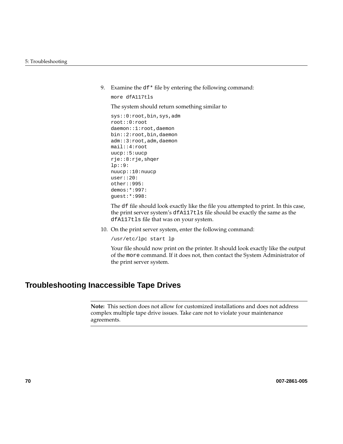<span id="page-91-0"></span>9. Examine the df\* file by entering the following command:

more dfA117tls

The system should return something similar to

```
sys::0:root,bin,sys,adm
root::0:root
daemon::1:root,daemon
bin::2:root,bin,daemon
adm::3:root,adm,daemon
mail::4:root
uucp::5:uucp
rje::8:rje,shqer
lp::9:
nuucp::10:nuucp
user::20:
other::995:
demos:*:997:
guest:*:998:
```
The df file should look exactly like the file you attempted to print. In this case, the print server system's dfA117tls file should be exactly the same as the dfA117tls file that was on your system.

10. On the print server system, enter the following command:

/usr/etc/lpc start lp

Your file should now print on the printer. It should look exactly like the output of the more command. If it does not, then contact the System Administrator of the print server system.

# **Troubleshooting Inaccessible Tape Drives**

**Note:** This section does not allow for customized installations and does not address complex multiple tape drive issues. Take care not to violate your maintenance agreements.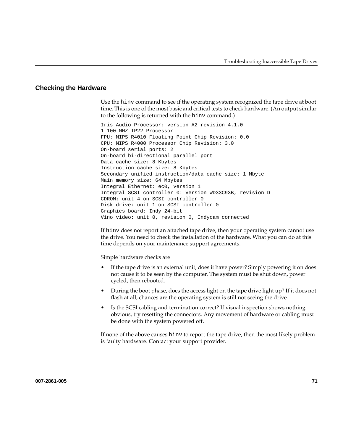### **Checking the Hardware**

Use the hinv command to see if the operating system recognized the tape drive at boot time. This is one of the most basic and critical tests to check hardware. (An output similar to the following is returned with the hinv command.)

Iris Audio Processor: version A2 revision 4.1.0 1 100 MHZ IP22 Processor FPU: MIPS R4010 Floating Point Chip Revision: 0.0 CPU: MIPS R4000 Processor Chip Revision: 3.0 On-board serial ports: 2 On-board bi-directional parallel port Data cache size: 8 Kbytes Instruction cache size: 8 Kbytes Secondary unified instruction/data cache size: 1 Mbyte Main memory size: 64 Mbytes Integral Ethernet: ec0, version 1 Integral SCSI controller 0: Version WD33C93B, revision D CDROM: unit 4 on SCSI controller 0 Disk drive: unit 1 on SCSI controller 0 Graphics board: Indy 24-bit Vino video: unit 0, revision 0, Indycam connected

If hinv does not report an attached tape drive, then your operating system cannot use the drive. You need to check the installation of the hardware. What you can do at this time depends on your maintenance support agreements.

Simple hardware checks are

- If the tape drive is an external unit, does it have power? Simply powering it on does not cause it to be seen by the computer. The system must be shut down, power cycled, then rebooted.
- During the boot phase, does the access light on the tape drive light up? If it does not flash at all, chances are the operating system is still not seeing the drive.
- Is the SCSI cabling and termination correct? If visual inspection shows nothing obvious, try resetting the connectors. Any movement of hardware or cabling must be done with the system powered off.

If none of the above causes hinv to report the tape drive, then the most likely problem is faulty hardware. Contact your support provider.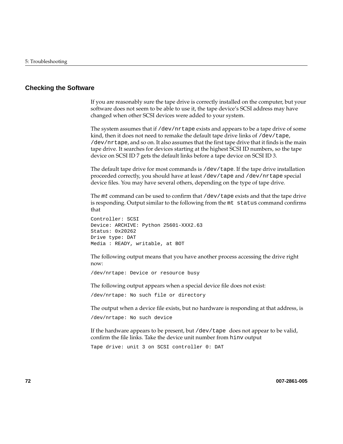### **Checking the Software**

If you are reasonably sure the tape drive is correctly installed on the computer, but your software does not seem to be able to use it, the tape device's SCSI address may have changed when other SCSI devices were added to your system.

The system assumes that if /dev/nrtape exists and appears to be a tape drive of some kind, then it does not need to remake the default tape drive links of /dev/tape, /dev/nrtape, and so on. It also assumes that the first tape drive that it finds is the main tape drive. It searches for devices starting at the highest SCSI ID numbers, so the tape device on SCSI ID 7 gets the default links before a tape device on SCSI ID 3.

The default tape drive for most commands is /dev/tape. If the tape drive installation proceeded correctly, you should have at least /dev/tape and /dev/nrtape special device files. You may have several others, depending on the type of tape drive.

The mt command can be used to confirm that /dev/tape exists and that the tape drive is responding. Output similar to the following from the mt status command confirms that

```
Controller: SCSI
Device: ARCHIVE: Python 25601-XXX2.63
Status: 0x20262
Drive type: DAT
Media : READY, writable, at BOT
```
The following output means that you have another process accessing the drive right now:

/dev/nrtape: Device or resource busy

The following output appears when a special device file does not exist:

/dev/nrtape: No such file or directory

The output when a device file exists, but no hardware is responding at that address, is /dev/nrtape: No such device

If the hardware appears to be present, but  $/$  dev $/$ tape does not appear to be valid, confirm the file links. Take the device unit number from hinv output

Tape drive: unit 3 on SCSI controller 0: DAT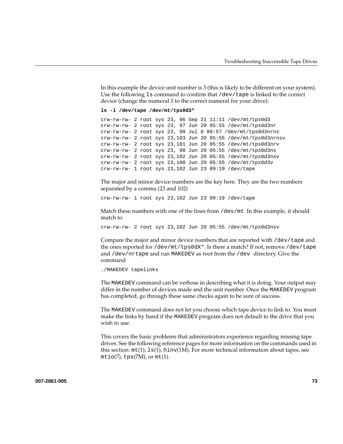In this example the device unit number is 3 (this is likely to be different on your system). Use the following ls command to confirm that /dev/tape is linked to the correct device (change the numeral 3 to the correct numeral for your drive):

```
ls -l /dev/tape /dev/mt/tps0d3*
```

```
crw-rw-rw- 2 root sys 23, 96 Sep 21 11:11 /dev/mt/tps0d3
crw-rw-rw- 2 root sys 23, 97 Jun 20 05:55 /dev/mt/tps0d3nr
crw-rw-rw- 2 root sys 23, 99 Jul 8 09:57 /dev/mt/tps0d3nrns
crw-rw-rw- 2 root sys 23,103 Jun 20 05:55 /dev/mt/tps0d3nrnsv
crw-rw-rw- 2 root sys 23,101 Jun 20 05:55 /dev/mt/tps0d3nrv
crw-rw-rw- 2 root sys 23, 98 Jun 20 05:55 /dev/mt/tps0d3ns
crw-rw-rw- 2 root sys 23,102 Jun 20 05:55 /dev/mt/tps0d3nsv
crw-rw-rw- 2 root sys 23,100 Jun 20 05:55 /dev/mt/tps0d3v
crw-rw-rw- 1 root sys 23,102 Jun 23 09:19 /dev/tape
```
The major and minor device numbers are the key here. They are the two numbers separated by a comma (23 and 102)

crw-rw-rw- 1 root sys 23,102 Jun 23 09:19 /dev/tape

Match these numbers with one of the lines from  $/$  dev $/$ mt. In this example, it should match to

crw-rw-rw- 2 root sys 23,102 Jun 20 05:55 /dev/mt/tps0d3nsv

Compare the major and minor device numbers that are reported with /dev/tape and the ones reported for /dev/mt/tps0dX\*. Is there a match? If not, remove /dev/tape and /dev/nrtape and run MAKEDEV as root from the /dev directory. Give the command

```
./MAKEDEV tapelinks
```
The MAKEDEV command can be verbose in describing what it is doing. Your output may differ in the number of devices made and the unit number. Once the MAKEDEV program has completed, go through these same checks again to be sure of success.

The MAKEDEV command does not let you choose which tape device to link to. You must make the links by hand if the MAKEDEV program does not default to the drive that you wish to use.

This covers the basic problems that administrators experience regarding missing tape drives. See the following reference pages for more information on the commands used in this section:  $m t(1)$ ,  $l s(1)$ ,  $h inv(1M)$ . For more technical information about tapes, see  $m\text{tio}(7)$ , tps $(7M)$ , or  $m\text{t}(1)$ .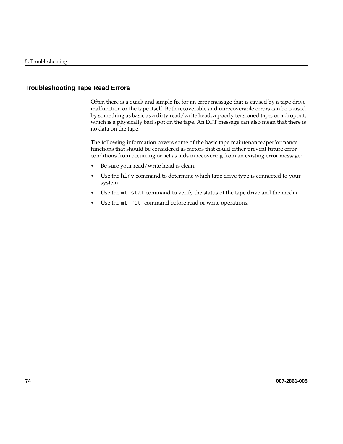## **Troubleshooting Tape Read Errors**

Often there is a quick and simple fix for an error message that is caused by a tape drive malfunction or the tape itself. Both recoverable and unrecoverable errors can be caused by something as basic as a dirty read/write head, a poorly tensioned tape, or a dropout, which is a physically bad spot on the tape. An EOT message can also mean that there is no data on the tape.

The following information covers some of the basic tape maintenance/performance functions that should be considered as factors that could either prevent future error conditions from occurring or act as aids in recovering from an existing error message:

- Be sure your read/write head is clean.
- Use the hinv command to determine which tape drive type is connected to your system.
- Use the mt stat command to verify the status of the tape drive and the media.
- Use the mt ret command before read or write operations.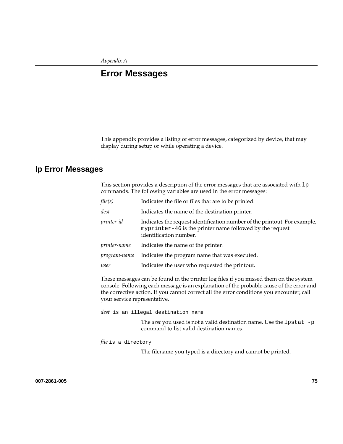# **A. Error Messages**

This appendix provides a listing of error messages, categorized by device, that may display during setup or while operating a device.

## **lp Error Messages**

This section provides a description of the error messages that are associated with  $1p$ commands. The following variables are used in the error messages:

| file(s)      | Indicates the file or files that are to be printed.                                                                                                             |
|--------------|-----------------------------------------------------------------------------------------------------------------------------------------------------------------|
| dest         | Indicates the name of the destination printer.                                                                                                                  |
| printer-id   | Indicates the request identification number of the printout. For example,<br>myprinter-46 is the printer name followed by the request<br>identification number. |
| printer-name | Indicates the name of the printer.                                                                                                                              |
| program-name | Indicates the program name that was executed.                                                                                                                   |
| user         | Indicates the user who requested the printout.                                                                                                                  |

These messages can be found in the printer log files if you missed them on the system console. Following each message is an explanation of the probable cause of the error and the corrective action. If you cannot correct all the error conditions you encounter, call your service representative.

*dest* is an illegal destination name

The *dest* you used is not a valid destination name. Use the lpstat -p command to list valid destination names.

*file* is a directory

The filename you typed is a directory and cannot be printed.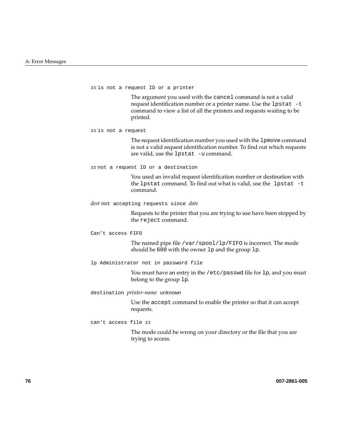*xx* is not a request ID or a printer

The argument you used with the cancel command is not a valid request identification number or a printer name. Use the lpstat -t command to view a list of all the printers and requests waiting to be printed.

*xx* is not a request

The request identification number you used with the lpmove command is not a valid request identification number. To find out which requests are valid, use the lpstat -u command.

*xx* not a request ID or a destination

You used an invalid request identification number or destination with the lpstat command. To find out what is valid, use the lpstat -t command.

*dest* not accepting requests since *date*

Requests to the printer that you are trying to use have been stopped by the reject command.

Can't access FIFO

The named pipe file /var/spool/lp/FIFO is incorrect. The mode should be 600 with the owner lp and the group lp.

lp Administrator not in password file

You must have an entry in the /etc/passwd file for 1p, and you must belong to the group lp.

destination *printer-name* unknown

Use the accept command to enable the printer so that it can accept requests.

can't access file *xx*

The mode could be wrong on your directory or the file that you are trying to access.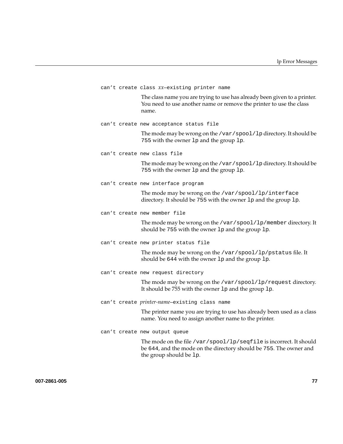|  | can't create class XX-existing printer name                                                                                                                         |
|--|---------------------------------------------------------------------------------------------------------------------------------------------------------------------|
|  | The class name you are trying to use has already been given to a printer.<br>You need to use another name or remove the printer to use the class<br>name.           |
|  | can't create new acceptance status file                                                                                                                             |
|  | The mode may be wrong on the /var/spool/lp directory. It should be<br>755 with the owner 1p and the group 1p.                                                       |
|  | can't create new class file                                                                                                                                         |
|  | The mode may be wrong on the /var/spool/lp directory. It should be<br>755 with the owner 1p and the group 1p.                                                       |
|  | can't create new interface program                                                                                                                                  |
|  | The mode may be wrong on the /var/spool/lp/interface<br>directory. It should be 755 with the owner 1p and the group 1p.                                             |
|  | can't create new member file                                                                                                                                        |
|  | The mode may be wrong on the /var/spool/lp/member directory. It<br>should be 755 with the owner 1p and the group 1p.                                                |
|  | can't create new printer status file                                                                                                                                |
|  | The mode may be wrong on the /var/spool/lp/pstatus file. It<br>should be 644 with the owner 1p and the group 1p.                                                    |
|  | can't create new request directory                                                                                                                                  |
|  | The mode may be wrong on the /var/spool/lp/request directory.<br>It should be 755 with the owner 1p and the group 1p.                                               |
|  | can't create printer-name-existing class name                                                                                                                       |
|  | The printer name you are trying to use has already been used as a class<br>name. You need to assign another name to the printer.                                    |
|  | can't create new output queue                                                                                                                                       |
|  | The mode on the file /var/spool/lp/seqfile is incorrect. It should<br>be 644, and the mode on the directory should be 755. The owner and<br>the group should be 1p. |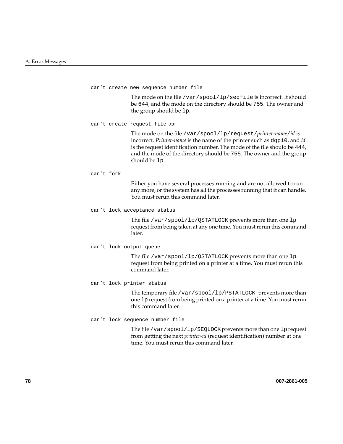can't create new sequence number file

The mode on the file /var/spool/lp/seqfile is incorrect. It should be 644, and the mode on the directory should be 755. The owner and the group should be lp.

can't create request file *xx*

The mode on the file /var/spool/lp/request/*printer-name*/*id* is incorrect. *Printer-name* is the name of the printer such as dqp10, and *id* is the request identification number. The mode of the file should be 444, and the mode of the directory should be 755. The owner and the group should be lp.

can't fork

Either you have several processes running and are not allowed to run any more, or the system has all the processes running that it can handle. You must rerun this command later.

can't lock acceptance status

The file /var/spool/lp/QSTATLOCK prevents more than one lp request from being taken at any one time. You must rerun this command later.

can't lock output queue

The file /var/spool/lp/QSTATLOCK prevents more than one lp request from being printed on a printer at a time. You must rerun this command later.

can't lock printer status

The temporary file /var/spool/lp/PSTATLOCK prevents more than one lp request from being printed on a printer at a time. You must rerun this command later.

can't lock sequence number file

The file /var/spool/lp/SEQLOCK prevents more than one lp request from getting the next *printer-id* (request identification) number at one time. You must rerun this command later.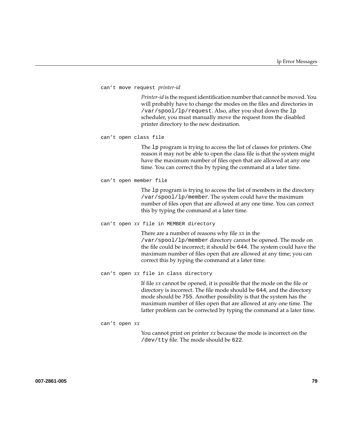```
can't move request printer-id
```
*Printer-id* is the request identification number that cannot be moved. You will probably have to change the modes on the files and directories in /var/spool/lp/request. Also, after you shut down the lp scheduler, you must manually move the request from the disabled printer directory to the new destination.

```
can't open class file
```
The lp program is trying to access the list of classes for printers. One reason it may not be able to open the class file is that the system might have the maximum number of files open that are allowed at any one time. You can correct this by typing the command at a later time.

```
can't open member file
```
The lp program is trying to access the list of members in the directory /var/spool/lp/member. The system could have the maximum number of files open that are allowed at any one time. You can correct this by typing the command at a later time.

#### can't open *xx* file in MEMBER directory

There are a number of reasons why file *xx* in the /var/spool/lp/member directory cannot be opened. The mode on the file could be incorrect; it should be 644. The system could have the maximum number of files open that are allowed at any time; you can correct this by typing the command at a later time.

```
can't open xx file in class directory
```
If file *xx* cannot be opened, it is possible that the mode on the file or directory is incorrect. The file mode should be 644, and the directory mode should be 755. Another possibility is that the system has the maximum number of files open that are allowed at any one time. The latter problem can be corrected by typing the command at a later time.

#### can't open *xx*

You cannot print on printer *xx* because the mode is incorrect on the /dev/tty file. The mode should be 622.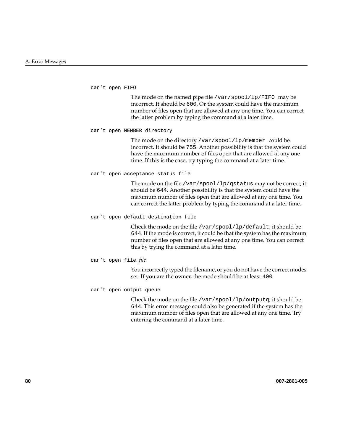can't open FIFO

The mode on the named pipe file /var/spool/lp/FIFO may be incorrect. It should be 600. Or the system could have the maximum number of files open that are allowed at any one time. You can correct the latter problem by typing the command at a later time.

can't open MEMBER directory

The mode on the directory /var/spool/lp/member could be incorrect. It should be 755. Another possibility is that the system could have the maximum number of files open that are allowed at any one time. If this is the case, try typing the command at a later time.

can't open acceptance status file

The mode on the file /var/spool/lp/qstatus may not be correct; it should be 644. Another possibility is that the system could have the maximum number of files open that are allowed at any one time. You can correct the latter problem by typing the command at a later time.

can't open default destination file

Check the mode on the file /var/spool/lp/default; it should be 644. If the mode is correct, it could be that the system has the maximum number of files open that are allowed at any one time. You can correct this by trying the command at a later time.

can't open file *file*

You incorrectly typed the filename, or you do not have the correct modes set. If you are the owner, the mode should be at least 400.

can't open output queue

Check the mode on the file /var/spool/lp/outputq; it should be 644. This error message could also be generated if the system has the maximum number of files open that are allowed at any one time. Try entering the command at a later time.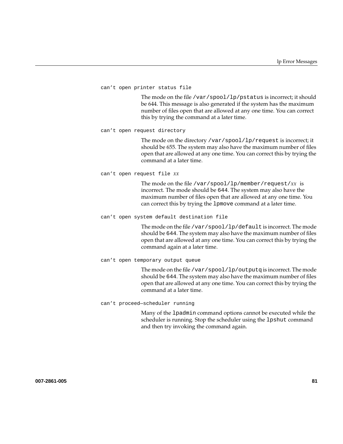```
can't open printer status file
```
The mode on the file /var/spool/lp/pstatus is incorrect; it should be 644. This message is also generated if the system has the maximum number of files open that are allowed at any one time. You can correct this by trying the command at a later time.

can't open request directory

The mode on the directory /var/spool/lp/request is incorrect; it should be 655. The system may also have the maximum number of files open that are allowed at any one time. You can correct this by trying the command at a later time.

can't open request file *xx*

The mode on the file /var/spool/lp/member/request/*xx* is incorrect. The mode should be 644. The system may also have the maximum number of files open that are allowed at any one time. You can correct this by trying the lpmove command at a later time.

can't open system default destination file

The mode on the file /var/spool/lp/default is incorrect. The mode should be 644. The system may also have the maximum number of files open that are allowed at any one time. You can correct this by trying the command again at a later time.

#### can't open temporary output queue

The mode on the file /var/spool/lp/outputq is incorrect. The mode should be 644. The system may also have the maximum number of files open that are allowed at any one time. You can correct this by trying the command at a later time.

#### can't proceed—scheduler running

Many of the lpadmin command options cannot be executed while the scheduler is running. Stop the scheduler using the lpshut command and then try invoking the command again.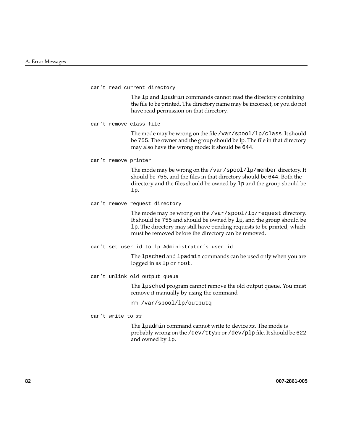can't read current directory The lp and lpadmin commands cannot read the directory containing the file to be printed. The directory name may be incorrect, or you do not have read permission on that directory. can't remove class file The mode may be wrong on the file /var/spool/lp/class. It should be 755. The owner and the group should be lp. The file in that directory may also have the wrong mode; it should be 644. can't remove printer The mode may be wrong on the /var/spool/lp/member directory. It should be 755, and the files in that directory should be 644. Both the directory and the files should be owned by lp and the group should be lp. can't remove request directory The mode may be wrong on the /var/spool/lp/request directory. It should be 755 and should be owned by lp, and the group should be lp. The directory may still have pending requests to be printed, which must be removed before the directory can be removed. can't set user id to lp Administrator's user id The lpsched and lpadmin commands can be used only when you are logged in as lp or root. can't unlink old output queue The lpsched program cannot remove the old output queue. You must remove it manually by using the command rm /var/spool/lp/outputq can't write to *xx* The lpadmin command cannot write to device *xx*. The mode is probably wrong on the /dev/tty*xx* or /dev/plp file. It should be 622 and owned by lp.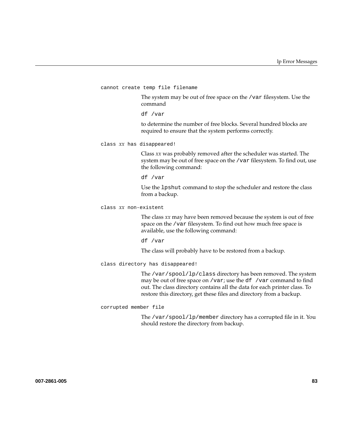cannot create temp file filename

The system may be out of free space on the /var filesystem. Use the command

df /var

to determine the number of free blocks. Several hundred blocks are required to ensure that the system performs correctly.

class *xx* has disappeared!

Class *xx* was probably removed after the scheduler was started. The system may be out of free space on the /var filesystem. To find out, use the following command:

df /var

Use the lpshut command to stop the scheduler and restore the class from a backup.

class *xx* non-existent

The class *xx* may have been removed because the system is out of free space on the /var filesystem. To find out how much free space is available, use the following command:

df /var

The class will probably have to be restored from a backup.

class directory has disappeared!

The /var/spool/lp/class directory has been removed. The system may be out of free space on /var; use the  $df$  /var command to find out. The class directory contains all the data for each printer class. To restore this directory, get these files and directory from a backup.

corrupted member file

The /var/spool/lp/member directory has a corrupted file in it. You should restore the directory from backup.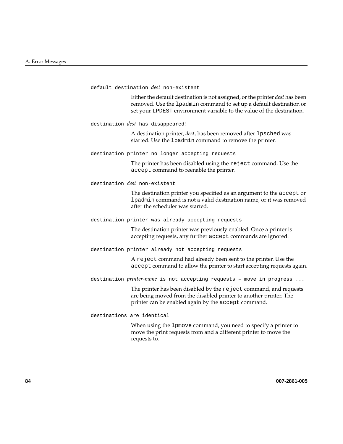default destination *dest* non-existent

Either the default destination is not assigned, or the printer *dest* has been removed. Use the lpadmin command to set up a default destination or set your LPDEST environment variable to the value of the destination.

destination *dest* has disappeared!

A destination printer, *dest*, has been removed after lpsched was started. Use the lpadmin command to remove the printer.

destination printer no longer accepting requests

The printer has been disabled using the reject command. Use the accept command to reenable the printer.

destination *dest* non-existent

The destination printer you specified as an argument to the accept or lpadmin command is not a valid destination name, or it was removed after the scheduler was started.

destination printer was already accepting requests

The destination printer was previously enabled. Once a printer is accepting requests, any further accept commands are ignored.

destination printer already not accepting requests

A reject command had already been sent to the printer. Use the accept command to allow the printer to start accepting requests again.

destination *printer-name* is not accepting requests – move in progress ...

The printer has been disabled by the reject command, and requests are being moved from the disabled printer to another printer. The printer can be enabled again by the accept command.

destinations are identical

When using the lpmove command, you need to specify a printer to move the print requests from and a different printer to move the requests to.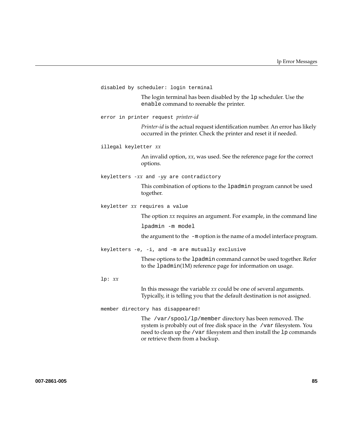```
disabled by scheduler: login terminal
               The login terminal has been disabled by the lp scheduler. Use the
               enable command to reenable the printer.
error in printer request printer-id
               Printer-id is the actual request identification number. An error has likely
               occurred in the printer. Check the printer and reset it if needed.
illegal keyletter xx
               An invalid option, xx, was used. See the reference page for the correct
               options.
keyletters -xx and -yy are contradictory
               This combination of options to the lpadmin program cannot be used
               together.
keyletter xx requires a value
               The option xx requires an argument. For example, in the command line
               lpadmin -m model
               the argument to the -m option is the name of a model interface program.
keyletters -e, -i, and -m are mutually exclusive
               These options to the lpadmin command cannot be used together. Refer
               to the lpadmin(1M) reference page for information on usage.
lp: xx
               In this message the variable xx could be one of several arguments.
               Typically, it is telling you that the default destination is not assigned.
member directory has disappeared!
               The /var/spool/lp/member directory has been removed. The
               system is probably out of free disk space in the /var filesystem. You
               need to clean up the /var filesystem and then install the 1p commands
               or retrieve them from a backup.
```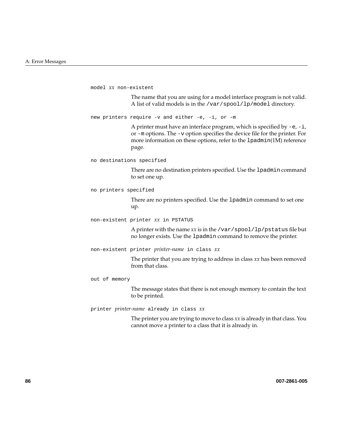```
model xx non-existent
               The name that you are using for a model interface program is not valid.
               A list of valid models is in the /var/spool/lp/model directory.
new printers require -v and either -e, -i, or -m
               A printer must have an interface program, which is specified by -e, -i,
               or -m options. The -v option specifies the device file for the printer. For
               more information on these options, refer to the lpadmin(1M) reference
               page.
no destinations specified
               There are no destination printers specified. Use the lpadmin command
               to set one up.
no printers specified
               There are no printers specified. Use the lpadmin command to set one
               up.
non-existent printer xx in PSTATUS
               A printer with the name xx is in the /var/spool/lp/pstatus file but
               no longer exists. Use the lpadmin command to remove the printer.
non-existent printer printer-name in class xx
               The printer that you are trying to address in class xx has been removed
               from that class.
out of memory
               The message states that there is not enough memory to contain the text
               to be printed.
printer printer-name already in class xx
               The printer you are trying to move to class xx is already in that class. You
               cannot move a printer to a class that it is already in.
```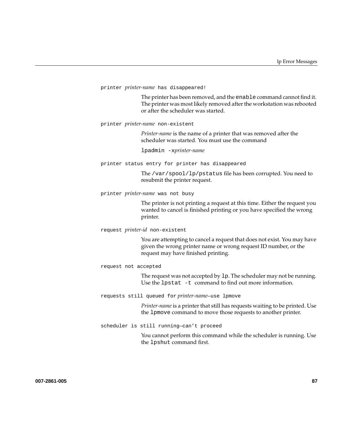printer *printer-name* has disappeared!

The printer has been removed, and the enable command cannot find it. The printer was most likely removed after the workstation was rebooted or after the scheduler was started.

printer *printer-name* non-existent

*Printer-name* is the name of a printer that was removed after the scheduler was started. You must use the command

lpadmin -x*printer-name*

printer status entry for printer has disappeared

The /var/spool/lp/pstatus file has been corrupted. You need to resubmit the printer request.

printer *printer-name* was not busy

The printer is not printing a request at this time. Either the request you wanted to cancel is finished printing or you have specified the wrong printer.

request *printer-id* non-existent

You are attempting to cancel a request that does not exist. You may have given the wrong printer name or wrong request ID number, or the request may have finished printing.

request not accepted

The request was not accepted by lp. The scheduler may not be running. Use the lpstat -t command to find out more information.

requests still queued for *printer-name*—use lpmove

*Printer-name* is a printer that still has requests waiting to be printed. Use the lpmove command to move those requests to another printer.

scheduler is still running—can't proceed

You cannot perform this command while the scheduler is running. Use the lpshut command first.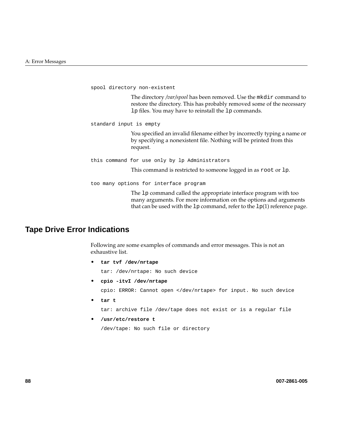```
spool directory non-existent
               The directory /var/spool has been removed. Use the mkdir command to
               restore the directory. This has probably removed some of the necessary
               lp files. You may have to reinstall the lp commands.
standard input is empty
               You specified an invalid filename either by incorrectly typing a name or
               by specifying a nonexistent file. Nothing will be printed from this
               request.
this command for use only by lp Administrators
               This command is restricted to someone logged in as root or lp.
too many options for interface program
               The lp command called the appropriate interface program with too
               many arguments. For more information on the options and arguments
```
that can be used with the  $1p$  command, refer to the  $1p(1)$  reference page.

# **Tape Drive Error Indications**

Following are some examples of commands and error messages. This is not an exhaustive list.

• **tar tvf /dev/nrtape**

tar: /dev/nrtape: No such device

• **cpio -itvI /dev/nrtape**

cpio: ERROR: Cannot open </dev/nrtape> for input. No such device

• **tar t**

tar: archive file /dev/tape does not exist or is a regular file

• **/usr/etc/restore t**

/dev/tape: No such file or directory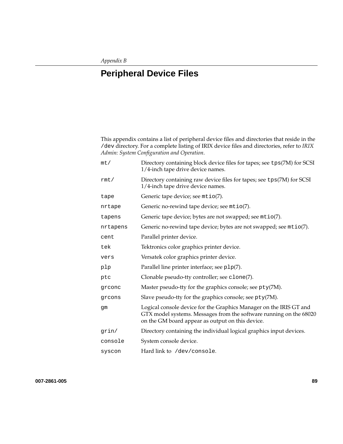# **B. Peripheral Device Files**

This appendix contains a list of peripheral device files and directories that reside in the /dev directory. For a complete listing of IRIX device files and directories, refer to *IRIX Admin: System Configuration and Operation*.

| mt/      | Directory containing block device files for tapes; see tps(7M) for SCSI<br>1/4-inch tape drive device names.                                                                                 |
|----------|----------------------------------------------------------------------------------------------------------------------------------------------------------------------------------------------|
| rmt/     | Directory containing raw device files for tapes; see tps(7M) for SCSI<br>1/4-inch tape drive device names.                                                                                   |
| tape     | Generic tape device; see mtio(7).                                                                                                                                                            |
| nrtape   | Generic no-rewind tape device; see mtio(7).                                                                                                                                                  |
| tapens   | Generic tape device; bytes are not swapped; see mtio(7).                                                                                                                                     |
| nrtapens | Generic no-rewind tape device; bytes are not swapped; see mtio(7).                                                                                                                           |
| cent     | Parallel printer device.                                                                                                                                                                     |
| tek      | Tektronics color graphics printer device.                                                                                                                                                    |
| vers     | Versatek color graphics printer device.                                                                                                                                                      |
| plp      | Parallel line printer interface; see p1p(7).                                                                                                                                                 |
| ptc      | Clonable pseudo-tty controller; see clone(7).                                                                                                                                                |
| grconc   | Master pseudo-tty for the graphics console; see pty(7M).                                                                                                                                     |
| grcons   | Slave pseudo-tty for the graphics console; see pty(7M).                                                                                                                                      |
| gm       | Logical console device for the Graphics Manager on the IRIS GT and<br>GTX model systems. Messages from the software running on the 68020<br>on the GM board appear as output on this device. |
| qrin/    | Directory containing the individual logical graphics input devices.                                                                                                                          |
| console  | System console device.                                                                                                                                                                       |
| syscon   | Hard link to /dev/console.                                                                                                                                                                   |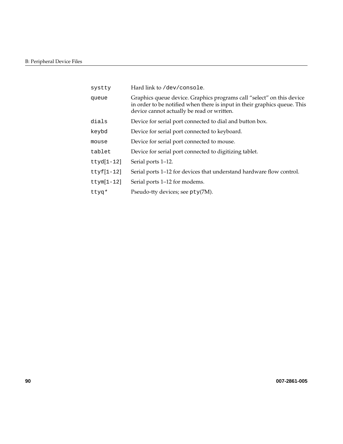| Hard link to /dev/console.                                                                                                                                                                       |
|--------------------------------------------------------------------------------------------------------------------------------------------------------------------------------------------------|
| Graphics queue device. Graphics programs call "select" on this device<br>in order to be notified when there is input in their graphics queue. This<br>device cannot actually be read or written. |
| Device for serial port connected to dial and button box.                                                                                                                                         |
| Device for serial port connected to keyboard.                                                                                                                                                    |
| Device for serial port connected to mouse.                                                                                                                                                       |
| Device for serial port connected to digitizing tablet.                                                                                                                                           |
| Serial ports 1–12.                                                                                                                                                                               |
| Serial ports 1–12 for devices that understand hardware flow control.                                                                                                                             |
| Serial ports 1–12 for modems.                                                                                                                                                                    |
| Pseudo-tty devices; see pty(7M).                                                                                                                                                                 |
|                                                                                                                                                                                                  |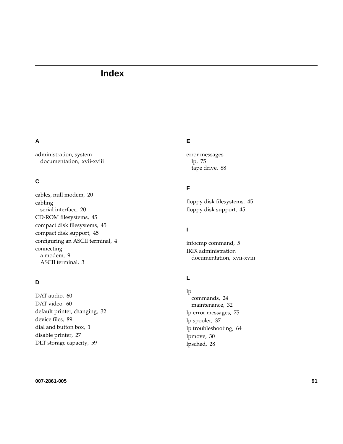# **Index**

#### **A**

administration, system documentation , xvii-xviii

## **C**

cables, null modem , 20 cabling serial interface , 20 CD-ROM filesystems , 45 compact disk filesystems , 45 compact disk support , 45 configuring an ASCII terminal , 4 connecting a modem , 9 ASCII terminal , 3

## **D**

DAT audio , 60 DAT video , 60 default printer, changing , 32 device files , 89 dial and button box , 1 disable printer , 27 DLT storage capacity , 59

#### **E**

error messages lp , 75 tape drive , 88

#### **F**

floppy disk filesystems , 45 floppy disk support , 45

#### **I**

infocmp command , 5 IRIX administration documentation , xvii-xviii

## **L**

lp commands , 24 maintenance , 32 lp error messages , 75 lp spooler , 37 lp troubleshooting , 64 lpmove , 30 lpsched , 28